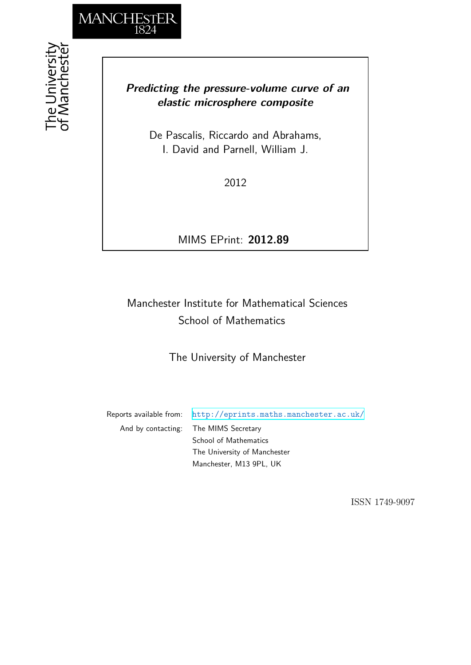

## *Predicting the pressure-volume curve of an elastic microsphere composite*

De Pascalis, Riccardo and Abrahams, I. David and Parnell, William J.

2012

MIMS EPrint: **2012.89**

# Manchester Institute for Mathematical Sciences School of Mathematics

The University of Manchester

Reports available from: <http://eprints.maths.manchester.ac.uk/> And by contacting: The MIMS Secretary School of Mathematics The University of Manchester

Manchester, M13 9PL, UK

ISSN 1749-9097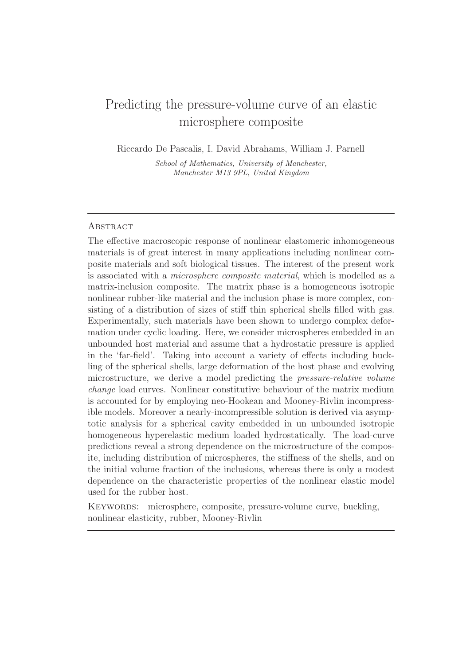# Predicting the pressure-volume curve of an elastic microsphere composite

Riccardo De Pascalis, I. David Abrahams, William J. Parnell

School of Mathematics, University of Manchester, Manchester M13 9PL, United Kingdom

## **ABSTRACT**

The effective macroscopic response of nonlinear elastomeric inhomogeneous materials is of great interest in many applications including nonlinear composite materials and soft biological tissues. The interest of the present work is associated with a microsphere composite material, which is modelled as a matrix-inclusion composite. The matrix phase is a homogeneous isotropic nonlinear rubber-like material and the inclusion phase is more complex, consisting of a distribution of sizes of stiff thin spherical shells filled with gas. Experimentally, such materials have been shown to undergo complex deformation under cyclic loading. Here, we consider microspheres embedded in an unbounded host material and assume that a hydrostatic pressure is applied in the 'far-field'. Taking into account a variety of effects including buckling of the spherical shells, large deformation of the host phase and evolving microstructure, we derive a model predicting the pressure-relative volume change load curves. Nonlinear constitutive behaviour of the matrix medium is accounted for by employing neo-Hookean and Mooney-Rivlin incompressible models. Moreover a nearly-incompressible solution is derived via asymptotic analysis for a spherical cavity embedded in un unbounded isotropic homogeneous hyperelastic medium loaded hydrostatically. The load-curve predictions reveal a strong dependence on the microstructure of the composite, including distribution of microspheres, the stiffness of the shells, and on the initial volume fraction of the inclusions, whereas there is only a modest dependence on the characteristic properties of the nonlinear elastic model used for the rubber host.

KEYWORDS: microsphere, composite, pressure-volume curve, buckling, nonlinear elasticity, rubber, Mooney-Rivlin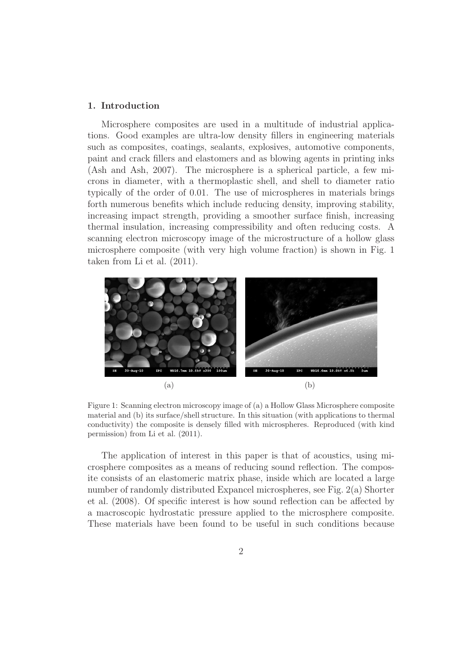## 1. Introduction

Microsphere composites are used in a multitude of industrial applications. Good examples are ultra-low density fillers in engineering materials such as composites, coatings, sealants, explosives, automotive components, paint and crack fillers and elastomers and as blowing agents in printing inks (Ash and Ash, 2007). The microsphere is a spherical particle, a few microns in diameter, with a thermoplastic shell, and shell to diameter ratio typically of the order of 0.01. The use of microspheres in materials brings forth numerous benefits which include reducing density, improving stability, increasing impact strength, providing a smoother surface finish, increasing thermal insulation, increasing compressibility and often reducing costs. A scanning electron microscopy image of the microstructure of a hollow glass microsphere composite (with very high volume fraction) is shown in Fig. 1 taken from Li et al. (2011).



Figure 1: Scanning electron microscopy image of (a) a Hollow Glass Microsphere composite material and (b) its surface/shell structure. In this situation (with applications to thermal conductivity) the composite is densely filled with microspheres. Reproduced (with kind permission) from Li et al. (2011).

The application of interest in this paper is that of acoustics, using microsphere composites as a means of reducing sound reflection. The composite consists of an elastomeric matrix phase, inside which are located a large number of randomly distributed Expancel microspheres, see Fig. 2(a) Shorter et al. (2008). Of specific interest is how sound reflection can be affected by a macroscopic hydrostatic pressure applied to the microsphere composite. These materials have been found to be useful in such conditions because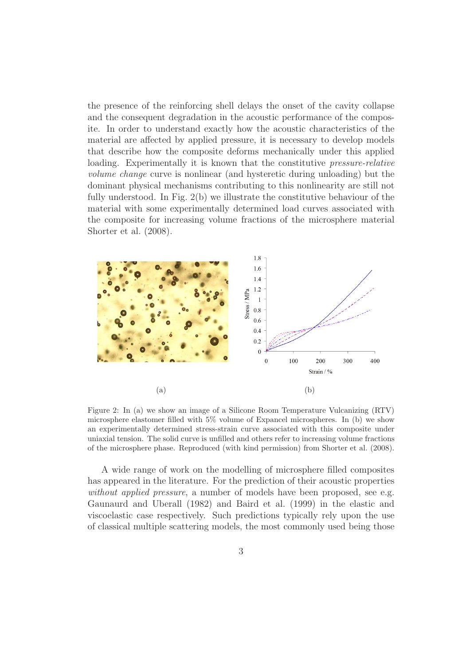the presence of the reinforcing shell delays the onset of the cavity collapse and the consequent degradation in the acoustic performance of the composite. In order to understand exactly how the acoustic characteristics of the material are affected by applied pressure, it is necessary to develop models that describe how the composite deforms mechanically under this applied loading. Experimentally it is known that the constitutive *pressure-relative* volume change curve is nonlinear (and hysteretic during unloading) but the dominant physical mechanisms contributing to this nonlinearity are still not fully understood. In Fig. 2(b) we illustrate the constitutive behaviour of the material with some experimentally determined load curves associated with the composite for increasing volume fractions of the microsphere material Shorter et al. (2008).



Figure 2: In (a) we show an image of a Silicone Room Temperature Vulcanizing (RTV) microsphere elastomer filled with 5% volume of Expancel microspheres. In (b) we show an experimentally determined stress-strain curve associated with this composite under uniaxial tension. The solid curve is unfilled and others refer to increasing volume fractions of the microsphere phase. Reproduced (with kind permission) from Shorter et al. (2008).

A wide range of work on the modelling of microsphere filled composites has appeared in the literature. For the prediction of their acoustic properties without applied pressure, a number of models have been proposed, see e.g. Gaunaurd and Uberall (1982) and Baird et al. (1999) in the elastic and viscoelastic case respectively. Such predictions typically rely upon the use of classical multiple scattering models, the most commonly used being those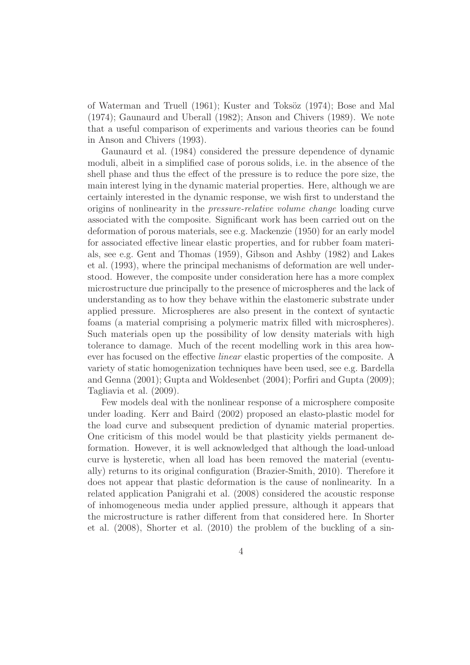of Waterman and Truell (1961); Kuster and Toksöz (1974); Bose and Mal (1974); Gaunaurd and Uberall (1982); Anson and Chivers (1989). We note that a useful comparison of experiments and various theories can be found in Anson and Chivers (1993).

Gaunaurd et al. (1984) considered the pressure dependence of dynamic moduli, albeit in a simplified case of porous solids, i.e. in the absence of the shell phase and thus the effect of the pressure is to reduce the pore size, the main interest lying in the dynamic material properties. Here, although we are certainly interested in the dynamic response, we wish first to understand the origins of nonlinearity in the pressure-relative volume change loading curve associated with the composite. Significant work has been carried out on the deformation of porous materials, see e.g. Mackenzie (1950) for an early model for associated effective linear elastic properties, and for rubber foam materials, see e.g. Gent and Thomas (1959), Gibson and Ashby (1982) and Lakes et al. (1993), where the principal mechanisms of deformation are well understood. However, the composite under consideration here has a more complex microstructure due principally to the presence of microspheres and the lack of understanding as to how they behave within the elastomeric substrate under applied pressure. Microspheres are also present in the context of syntactic foams (a material comprising a polymeric matrix filled with microspheres). Such materials open up the possibility of low density materials with high tolerance to damage. Much of the recent modelling work in this area however has focused on the effective linear elastic properties of the composite. A variety of static homogenization techniques have been used, see e.g. Bardella and Genna (2001); Gupta and Woldesenbet (2004); Porfiri and Gupta (2009); Tagliavia et al. (2009).

Few models deal with the nonlinear response of a microsphere composite under loading. Kerr and Baird (2002) proposed an elasto-plastic model for the load curve and subsequent prediction of dynamic material properties. One criticism of this model would be that plasticity yields permanent deformation. However, it is well acknowledged that although the load-unload curve is hysteretic, when all load has been removed the material (eventually) returns to its original configuration (Brazier-Smith, 2010). Therefore it does not appear that plastic deformation is the cause of nonlinearity. In a related application Panigrahi et al. (2008) considered the acoustic response of inhomogeneous media under applied pressure, although it appears that the microstructure is rather different from that considered here. In Shorter et al. (2008), Shorter et al. (2010) the problem of the buckling of a sin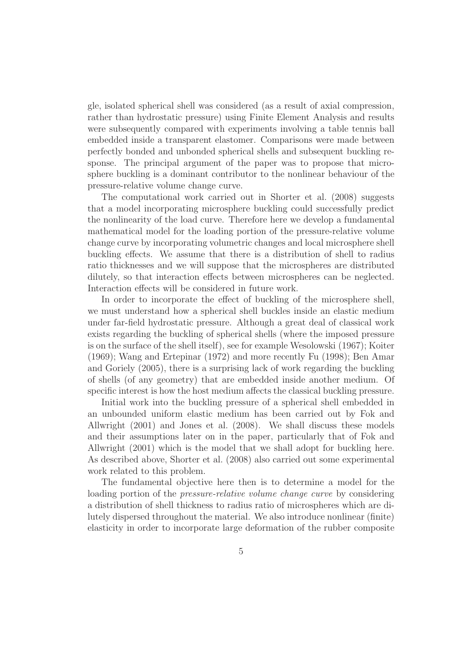gle, isolated spherical shell was considered (as a result of axial compression, rather than hydrostatic pressure) using Finite Element Analysis and results were subsequently compared with experiments involving a table tennis ball embedded inside a transparent elastomer. Comparisons were made between perfectly bonded and unbonded spherical shells and subsequent buckling response. The principal argument of the paper was to propose that microsphere buckling is a dominant contributor to the nonlinear behaviour of the pressure-relative volume change curve.

The computational work carried out in Shorter et al. (2008) suggests that a model incorporating microsphere buckling could successfully predict the nonlinearity of the load curve. Therefore here we develop a fundamental mathematical model for the loading portion of the pressure-relative volume change curve by incorporating volumetric changes and local microsphere shell buckling effects. We assume that there is a distribution of shell to radius ratio thicknesses and we will suppose that the microspheres are distributed dilutely, so that interaction effects between microspheres can be neglected. Interaction effects will be considered in future work.

In order to incorporate the effect of buckling of the microsphere shell, we must understand how a spherical shell buckles inside an elastic medium under far-field hydrostatic pressure. Although a great deal of classical work exists regarding the buckling of spherical shells (where the imposed pressure is on the surface of the shell itself), see for example Wesolowski (1967); Koiter (1969); Wang and Ertepinar (1972) and more recently Fu (1998); Ben Amar and Goriely (2005), there is a surprising lack of work regarding the buckling of shells (of any geometry) that are embedded inside another medium. Of specific interest is how the host medium affects the classical buckling pressure.

Initial work into the buckling pressure of a spherical shell embedded in an unbounded uniform elastic medium has been carried out by Fok and Allwright (2001) and Jones et al. (2008). We shall discuss these models and their assumptions later on in the paper, particularly that of Fok and Allwright (2001) which is the model that we shall adopt for buckling here. As described above, Shorter et al. (2008) also carried out some experimental work related to this problem.

The fundamental objective here then is to determine a model for the loading portion of the *pressure-relative volume change curve* by considering a distribution of shell thickness to radius ratio of microspheres which are dilutely dispersed throughout the material. We also introduce nonlinear (finite) elasticity in order to incorporate large deformation of the rubber composite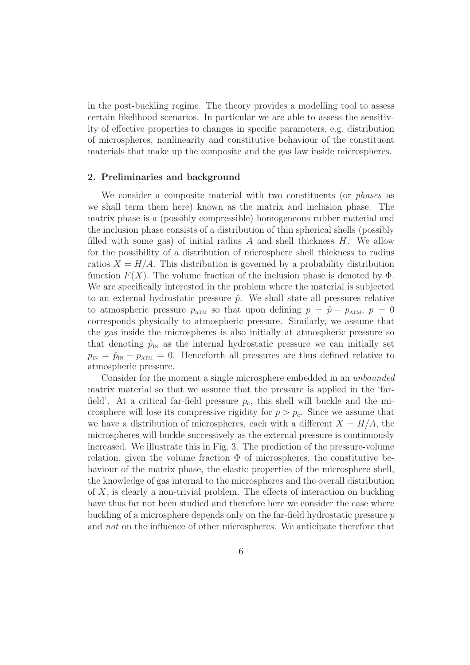in the post-buckling regime. The theory provides a modelling tool to assess certain likelihood scenarios. In particular we are able to assess the sensitivity of effective properties to changes in specific parameters, e.g. distribution of microspheres, nonlinearity and constitutive behaviour of the constituent materials that make up the composite and the gas law inside microspheres.

## 2. Preliminaries and background

We consider a composite material with two constituents (or *phases* as we shall term them here) known as the matrix and inclusion phase. The matrix phase is a (possibly compressible) homogeneous rubber material and the inclusion phase consists of a distribution of thin spherical shells (possibly filled with some gas) of initial radius  $A$  and shell thickness  $H$ . We allow for the possibility of a distribution of microsphere shell thickness to radius ratios  $X = H/A$ . This distribution is governed by a probability distribution function  $F(X)$ . The volume fraction of the inclusion phase is denoted by  $\Phi$ . We are specifically interested in the problem where the material is subjected to an external hydrostatic pressure  $\hat{p}$ . We shall state all pressures relative to atmospheric pressure  $p_{ATM}$  so that upon defining  $p = \hat{p} - p_{ATM}$ ,  $p = 0$ corresponds physically to atmospheric pressure. Similarly, we assume that the gas inside the microspheres is also initially at atmospheric pressure so that denoting  $\hat{p}_{\text{IN}}$  as the internal hydrostatic pressure we can initially set  $p_{\text{IN}} = \hat{p}_{\text{IN}} - p_{\text{ATM}} = 0$ . Henceforth all pressures are thus defined relative to atmospheric pressure.

Consider for the moment a single microsphere embedded in an unbounded matrix material so that we assume that the pressure is applied in the 'farfield'. At a critical far-field pressure  $p_c$ , this shell will buckle and the microsphere will lose its compressive rigidity for  $p > p_c$ . Since we assume that we have a distribution of microspheres, each with a different  $X = H/A$ , the microspheres will buckle successively as the external pressure is continuously increased. We illustrate this in Fig. 3. The prediction of the pressure-volume relation, given the volume fraction  $\Phi$  of microspheres, the constitutive behaviour of the matrix phase, the elastic properties of the microsphere shell, the knowledge of gas internal to the microspheres and the overall distribution of  $X$ , is clearly a non-trivial problem. The effects of interaction on buckling have thus far not been studied and therefore here we consider the case where buckling of a microsphere depends only on the far-field hydrostatic pressure p and not on the influence of other microspheres. We anticipate therefore that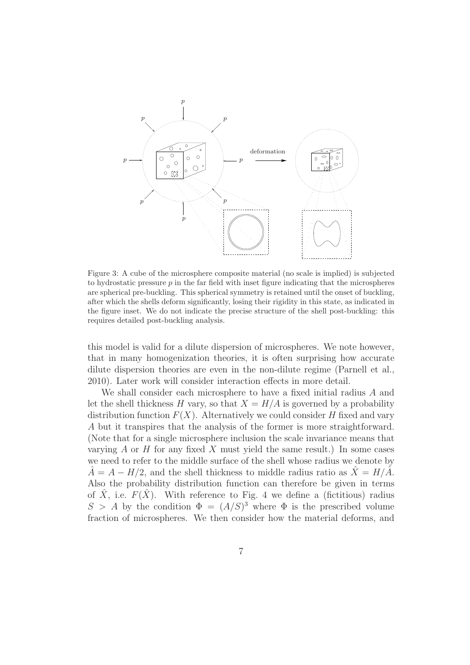

Figure 3: A cube of the microsphere composite material (no scale is implied) is subjected to hydrostatic pressure  $p$  in the far field with inset figure indicating that the microspheres are spherical pre-buckling. This spherical symmetry is retained until the onset of buckling, after which the shells deform significantly, losing their rigidity in this state, as indicated in the figure inset. We do not indicate the precise structure of the shell post-buckling: this requires detailed post-buckling analysis.

this model is valid for a dilute dispersion of microspheres. We note however, that in many homogenization theories, it is often surprising how accurate dilute dispersion theories are even in the non-dilute regime (Parnell et al., 2010). Later work will consider interaction effects in more detail.

We shall consider each microsphere to have a fixed initial radius A and let the shell thickness H vary, so that  $X = H/A$  is governed by a probability distribution function  $F(X)$ . Alternatively we could consider H fixed and vary A but it transpires that the analysis of the former is more straightforward. (Note that for a single microsphere inclusion the scale invariance means that varying  $A$  or  $H$  for any fixed  $X$  must yield the same result.) In some cases we need to refer to the middle surface of the shell whose radius we denote by  $\hat{A} = A - H/2$ , and the shell thickness to middle radius ratio as  $\hat{X} = H/\hat{A}$ . Also the probability distribution function can therefore be given in terms of  $\hat{X}$ , i.e.  $F(\hat{X})$ . With reference to Fig. 4 we define a (fictitious) radius  $S > A$  by the condition  $\Phi = (A/S)^3$  where  $\Phi$  is the prescribed volume fraction of microspheres. We then consider how the material deforms, and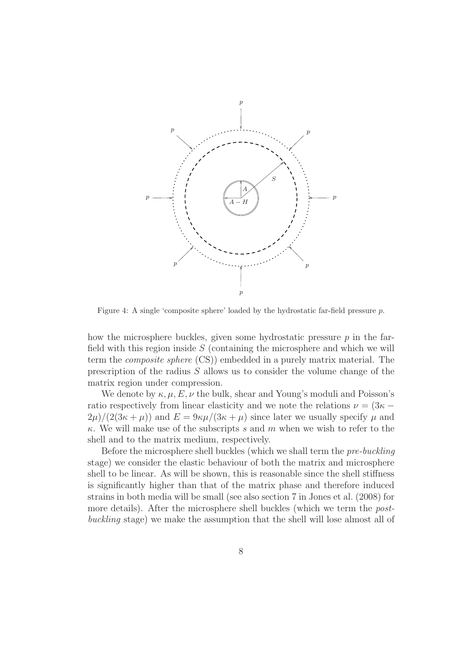

Figure 4: A single 'composite sphere' loaded by the hydrostatic far-field pressure p.

how the microsphere buckles, given some hydrostatic pressure  $p$  in the farfield with this region inside  $S$  (containing the microsphere and which we will term the composite sphere (CS)) embedded in a purely matrix material. The prescription of the radius S allows us to consider the volume change of the matrix region under compression.

We denote by  $\kappa, \mu, E, \nu$  the bulk, shear and Young's moduli and Poisson's ratio respectively from linear elasticity and we note the relations  $\nu = (3\kappa 2\mu$ /(2(3 $\kappa + \mu$ )) and  $E = 9\kappa\mu/(3\kappa + \mu)$  since later we usually specify  $\mu$  and  $\kappa$ . We will make use of the subscripts s and m when we wish to refer to the shell and to the matrix medium, respectively.

Before the microsphere shell buckles (which we shall term the pre-buckling stage) we consider the elastic behaviour of both the matrix and microsphere shell to be linear. As will be shown, this is reasonable since the shell stiffness is significantly higher than that of the matrix phase and therefore induced strains in both media will be small (see also section 7 in Jones et al. (2008) for more details). After the microsphere shell buckles (which we term the postbuckling stage) we make the assumption that the shell will lose almost all of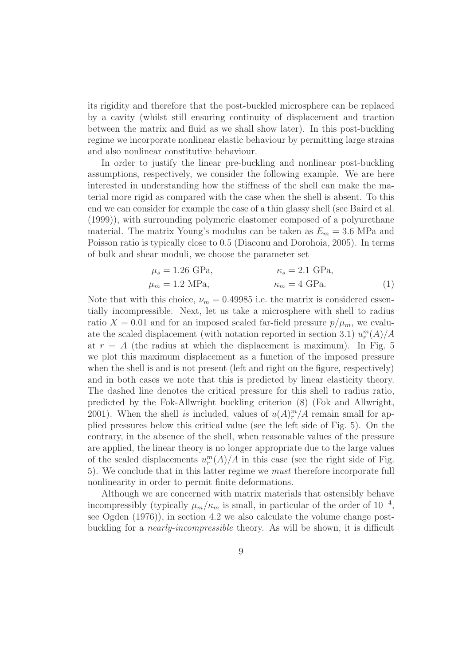its rigidity and therefore that the post-buckled microsphere can be replaced by a cavity (whilst still ensuring continuity of displacement and traction between the matrix and fluid as we shall show later). In this post-buckling regime we incorporate nonlinear elastic behaviour by permitting large strains and also nonlinear constitutive behaviour.

In order to justify the linear pre-buckling and nonlinear post-buckling assumptions, respectively, we consider the following example. We are here interested in understanding how the stiffness of the shell can make the material more rigid as compared with the case when the shell is absent. To this end we can consider for example the case of a thin glassy shell (see Baird et al. (1999)), with surrounding polymeric elastomer composed of a polyurethane material. The matrix Young's modulus can be taken as  $E_m = 3.6$  MPa and Poisson ratio is typically close to 0.5 (Diaconu and Dorohoia, 2005). In terms of bulk and shear moduli, we choose the parameter set

$$
\mu_s = 1.26 \text{ GPa}, \qquad \kappa_s = 2.1 \text{ GPa},
$$
  
\n
$$
\mu_m = 1.2 \text{ MPa}, \qquad \kappa_m = 4 \text{ GPa}. \qquad (1)
$$

Note that with this choice,  $\nu_m = 0.49985$  i.e. the matrix is considered essentially incompressible. Next, let us take a microsphere with shell to radius ratio  $X = 0.01$  and for an imposed scaled far-field pressure  $p/\mu_m$ , we evaluate the scaled displacement (with notation reported in section 3.1)  $u_r^m(A)/A$ at  $r = A$  (the radius at which the displacement is maximum). In Fig. 5 we plot this maximum displacement as a function of the imposed pressure when the shell is and is not present (left and right on the figure, respectively) and in both cases we note that this is predicted by linear elasticity theory. The dashed line denotes the critical pressure for this shell to radius ratio, predicted by the Fok-Allwright buckling criterion (8) (Fok and Allwright, 2001). When the shell is included, values of  $u(A)^m_r/A$  remain small for applied pressures below this critical value (see the left side of Fig. 5). On the contrary, in the absence of the shell, when reasonable values of the pressure are applied, the linear theory is no longer appropriate due to the large values of the scaled displacements  $u_r^m(A)/A$  in this case (see the right side of Fig. 5). We conclude that in this latter regime we must therefore incorporate full nonlinearity in order to permit finite deformations.

Although we are concerned with matrix materials that ostensibly behave incompressibly (typically  $\mu_m/\kappa_m$  is small, in particular of the order of 10<sup>-4</sup>, see Ogden (1976)), in section 4.2 we also calculate the volume change postbuckling for a nearly-incompressible theory. As will be shown, it is difficult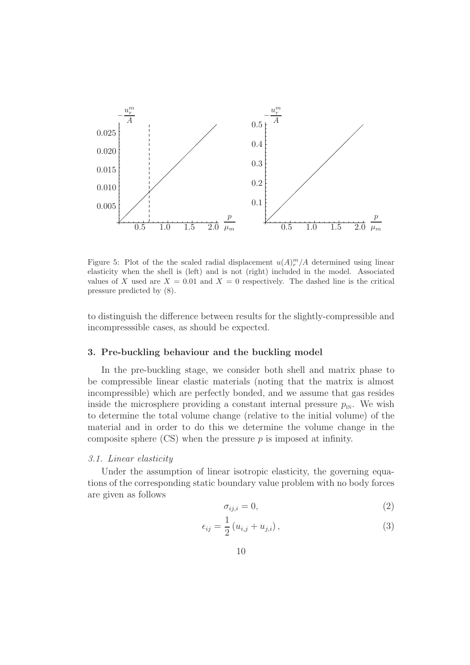

Figure 5: Plot of the the scaled radial displacement  $u(A)^m_{r}/A$  determined using linear elasticity when the shell is (left) and is not (right) included in the model. Associated values of X used are  $X = 0.01$  and  $X = 0$  respectively. The dashed line is the critical pressure predicted by (8).

to distinguish the difference between results for the slightly-compressible and incompresssible cases, as should be expected.

### 3. Pre-buckling behaviour and the buckling model

In the pre-buckling stage, we consider both shell and matrix phase to be compressible linear elastic materials (noting that the matrix is almost incompressible) which are perfectly bonded, and we assume that gas resides inside the microsphere providing a constant internal pressure  $p_{\text{in}}$ . We wish to determine the total volume change (relative to the initial volume) of the material and in order to do this we determine the volume change in the composite sphere  $\left( \right)$  when the pressure p is imposed at infinity.

## 3.1. Linear elasticity

Under the assumption of linear isotropic elasticity, the governing equations of the corresponding static boundary value problem with no body forces are given as follows

$$
\sigma_{ij,i} = 0,\tag{2}
$$

$$
\epsilon_{ij} = \frac{1}{2} \left( u_{i,j} + u_{j,i} \right),\tag{3}
$$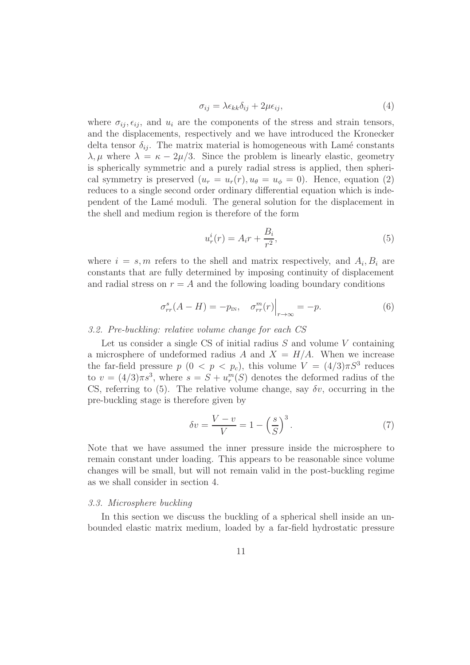$$
\sigma_{ij} = \lambda \epsilon_{kk} \delta_{ij} + 2\mu \epsilon_{ij},\tag{4}
$$

where  $\sigma_{ij}, \epsilon_{ij}$ , and  $u_i$  are the components of the stress and strain tensors, and the displacements, respectively and we have introduced the Kronecker delta tensor  $\delta_{ij}$ . The matrix material is homogeneous with Lamé constants  $\lambda, \mu$  where  $\lambda = \kappa - 2\mu/3$ . Since the problem is linearly elastic, geometry is spherically symmetric and a purely radial stress is applied, then spherical symmetry is preserved  $(u_r = u_r(r), u_\theta = u_\phi = 0)$ . Hence, equation (2) reduces to a single second order ordinary differential equation which is independent of the Lamé moduli. The general solution for the displacement in the shell and medium region is therefore of the form

$$
u_r^i(r) = A_i r + \frac{B_i}{r^2},\tag{5}
$$

where  $i = s, m$  refers to the shell and matrix respectively, and  $A_i, B_i$  are constants that are fully determined by imposing continuity of displacement and radial stress on  $r = A$  and the following loading boundary conditions

$$
\sigma_{rr}^s(A - H) = -p_{\text{IN}}, \quad \sigma_{rr}^m(r) \Big|_{r \to \infty} = -p. \tag{6}
$$

## 3.2. Pre-buckling: relative volume change for each CS

Let us consider a single CS of initial radius  $S$  and volume  $V$  containing a microsphere of undeformed radius A and  $X = H/A$ . When we increase the far-field pressure  $p(0 < p < p_c)$ , this volume  $V = (4/3)\pi S^3$  reduces to  $v = (4/3)\pi s^3$ , where  $s = S + u_r^m(S)$  denotes the deformed radius of the CS, referring to (5). The relative volume change, say  $\delta v$ , occurring in the pre-buckling stage is therefore given by

$$
\delta v = \frac{V - v}{V} = 1 - \left(\frac{s}{S}\right)^3. \tag{7}
$$

Note that we have assumed the inner pressure inside the microsphere to remain constant under loading. This appears to be reasonable since volume changes will be small, but will not remain valid in the post-buckling regime as we shall consider in section 4.

#### 3.3. Microsphere buckling

In this section we discuss the buckling of a spherical shell inside an unbounded elastic matrix medium, loaded by a far-field hydrostatic pressure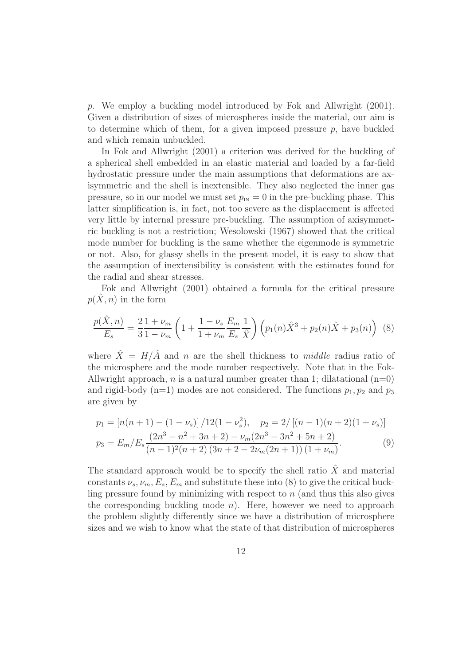p. We employ a buckling model introduced by Fok and Allwright (2001). Given a distribution of sizes of microspheres inside the material, our aim is to determine which of them, for a given imposed pressure  $p$ , have buckled and which remain unbuckled.

In Fok and Allwright (2001) a criterion was derived for the buckling of a spherical shell embedded in an elastic material and loaded by a far-field hydrostatic pressure under the main assumptions that deformations are axisymmetric and the shell is inextensible. They also neglected the inner gas pressure, so in our model we must set  $p_{\text{in}} = 0$  in the pre-buckling phase. This latter simplification is, in fact, not too severe as the displacement is affected very little by internal pressure pre-buckling. The assumption of axisymmetric buckling is not a restriction; Wesolowski (1967) showed that the critical mode number for buckling is the same whether the eigenmode is symmetric or not. Also, for glassy shells in the present model, it is easy to show that the assumption of inextensibility is consistent with the estimates found for the radial and shear stresses.

Fok and Allwright (2001) obtained a formula for the critical pressure  $p(X, n)$  in the form

$$
\frac{p(\hat{X}, n)}{E_s} = \frac{2}{3} \frac{1 + \nu_m}{1 - \nu_m} \left( 1 + \frac{1 - \nu_s}{1 + \nu_m} \frac{E_m}{E_s} \frac{1}{\hat{X}} \right) \left( p_1(n) \hat{X}^3 + p_2(n) \hat{X} + p_3(n) \right) \tag{8}
$$

where  $\hat{X} = H/\hat{A}$  and n are the shell thickness to middle radius ratio of the microsphere and the mode number respectively. Note that in the Fok-Allwright approach, *n* is a natural number greater than 1; dilatational  $(n=0)$ and rigid-body (n=1) modes are not considered. The functions  $p_1, p_2$  and  $p_3$ are given by

$$
p_1 = \left[ n(n+1) - (1 - \nu_s) \right] / 12(1 - \nu_s^2), \quad p_2 = 2 / \left[ (n-1)(n+2)(1 + \nu_s) \right]
$$
  
\n
$$
p_3 = E_m / E_s \frac{(2n^3 - n^2 + 3n + 2) - \nu_m (2n^3 - 3n^2 + 5n + 2)}{(n-1)^2 (n+2) (3n + 2 - 2\nu_m (2n + 1)) (1 + \nu_m)}.
$$
\n(9)

The standard approach would be to specify the shell ratio  $\hat{X}$  and material constants  $\nu_s$ ,  $\nu_m$ ,  $E_s$ ,  $E_m$  and substitute these into (8) to give the critical buckling pressure found by minimizing with respect to  $n$  (and thus this also gives the corresponding buckling mode  $n$ ). Here, however we need to approach the problem slightly differently since we have a distribution of microsphere sizes and we wish to know what the state of that distribution of microspheres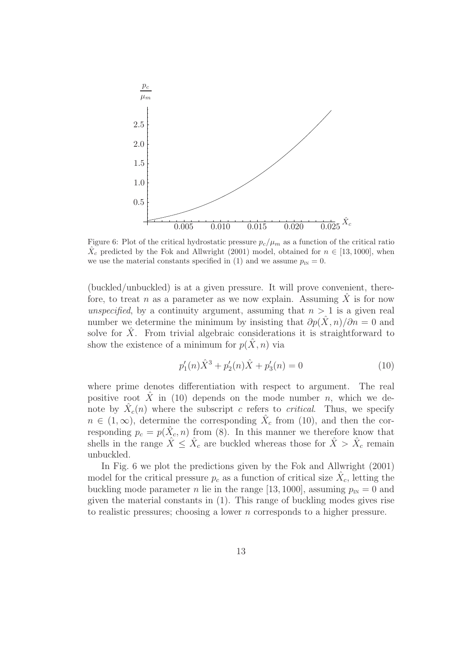

Figure 6: Plot of the critical hydrostatic pressure  $p_c/\mu_m$  as a function of the critical ratio  $\hat{X}_c$  predicted by the Fok and Allwright (2001) model, obtained for  $n \in [13, 1000]$ , when we use the material constants specified in (1) and we assume  $p_{\text{in}} = 0$ .

(buckled/unbuckled) is at a given pressure. It will prove convenient, therefore, to treat n as a parameter as we now explain. Assuming  $\hat{X}$  is for now unspecified, by a continuity argument, assuming that  $n > 1$  is a given real number we determine the minimum by insisting that  $\partial p(\hat{X}, n)/\partial n = 0$  and solve for  $\hat{X}$ . From trivial algebraic considerations it is straightforward to show the existence of a minimum for  $p(X, n)$  via

$$
p_1'(n)\hat{X}^3 + p_2'(n)\hat{X} + p_3'(n) = 0
$$
\n(10)

where prime denotes differentiation with respect to argument. The real positive root  $\hat{X}$  in (10) depends on the mode number n, which we denote by  $\hat{X}_c(n)$  where the subscript c refers to critical. Thus, we specify  $n \in (1,\infty)$ , determine the corresponding  $\hat{X}_c$  from (10), and then the corresponding  $p_c = p(\hat{X}_c, n)$  from (8). In this manner we therefore know that shells in the range  $\hat{X} \leq \hat{X}_c$  are buckled whereas those for  $\hat{X} > \hat{X}_c$  remain unbuckled.

In Fig. 6 we plot the predictions given by the Fok and Allwright (2001) model for the critical pressure  $p_c$  as a function of critical size  $\hat{X}_c$ , letting the buckling mode parameter *n* lie in the range [13, 1000], assuming  $p_{\text{in}} = 0$  and given the material constants in (1). This range of buckling modes gives rise to realistic pressures; choosing a lower n corresponds to a higher pressure.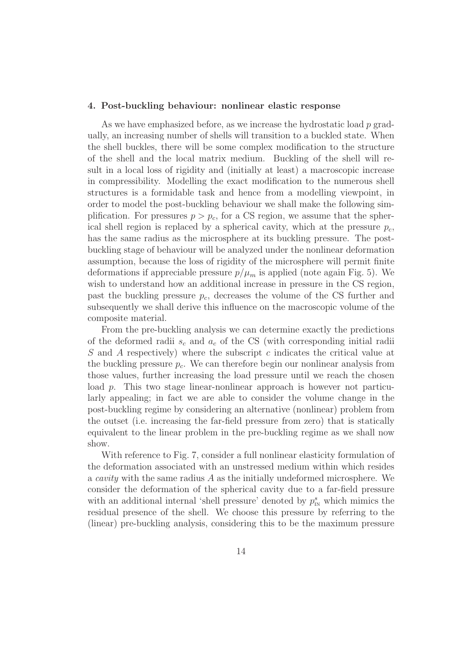### 4. Post-buckling behaviour: nonlinear elastic response

As we have emphasized before, as we increase the hydrostatic load  $p$  gradually, an increasing number of shells will transition to a buckled state. When the shell buckles, there will be some complex modification to the structure of the shell and the local matrix medium. Buckling of the shell will result in a local loss of rigidity and (initially at least) a macroscopic increase in compressibility. Modelling the exact modification to the numerous shell structures is a formidable task and hence from a modelling viewpoint, in order to model the post-buckling behaviour we shall make the following simplification. For pressures  $p > p_c$ , for a CS region, we assume that the spherical shell region is replaced by a spherical cavity, which at the pressure  $p_c$ , has the same radius as the microsphere at its buckling pressure. The postbuckling stage of behaviour will be analyzed under the nonlinear deformation assumption, because the loss of rigidity of the microsphere will permit finite deformations if appreciable pressure  $p/\mu_m$  is applied (note again Fig. 5). We wish to understand how an additional increase in pressure in the CS region, past the buckling pressure  $p_c$ , decreases the volume of the CS further and subsequently we shall derive this influence on the macroscopic volume of the composite material.

From the pre-buckling analysis we can determine exactly the predictions of the deformed radii  $s_c$  and  $a_c$  of the CS (with corresponding initial radii S and A respectively) where the subscript c indicates the critical value at the buckling pressure  $p_c$ . We can therefore begin our nonlinear analysis from those values, further increasing the load pressure until we reach the chosen load p. This two stage linear-nonlinear approach is however not particularly appealing; in fact we are able to consider the volume change in the post-buckling regime by considering an alternative (nonlinear) problem from the outset (i.e. increasing the far-field pressure from zero) that is statically equivalent to the linear problem in the pre-buckling regime as we shall now show.

With reference to Fig. 7, consider a full nonlinear elasticity formulation of the deformation associated with an unstressed medium within which resides a *cavity* with the same radius  $\tilde{A}$  as the initially undeformed microsphere. We consider the deformation of the spherical cavity due to a far-field pressure with an additional internal 'shell pressure' denoted by  $p_{\text{in}}^s$  which mimics the residual presence of the shell. We choose this pressure by referring to the (linear) pre-buckling analysis, considering this to be the maximum pressure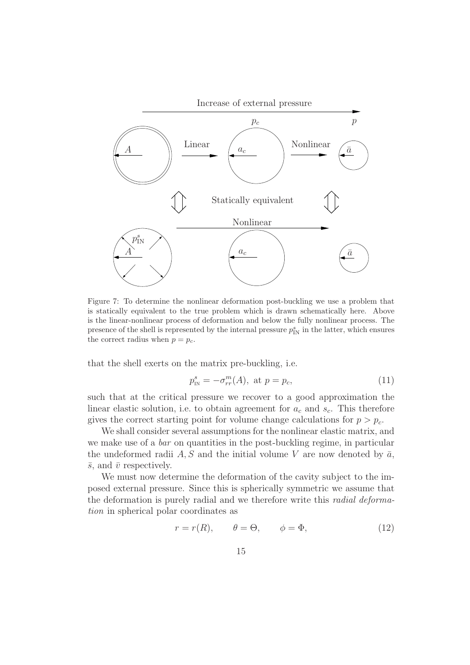

Figure 7: To determine the nonlinear deformation post-buckling we use a problem that is statically equivalent to the true problem which is drawn schematically here. Above is the linear-nonlinear process of deformation and below the fully nonlinear process. The presence of the shell is represented by the internal pressure  $p_{\text{IN}}^s$  in the latter, which ensures the correct radius when  $p = p_c$ .

that the shell exerts on the matrix pre-buckling, i.e.

$$
p_{\text{IN}}^s = -\sigma_{rr}^m(A)
$$
, at  $p = p_c$ , (11)

such that at the critical pressure we recover to a good approximation the linear elastic solution, i.e. to obtain agreement for  $a_c$  and  $s_c$ . This therefore gives the correct starting point for volume change calculations for  $p > p_c$ .

We shall consider several assumptions for the nonlinear elastic matrix, and we make use of a *bar* on quantities in the post-buckling regime, in particular the undeformed radii A, S and the initial volume V are now denoted by  $\bar{a}$ ,  $\bar{s}$ , and  $\bar{v}$  respectively.

We must now determine the deformation of the cavity subject to the imposed external pressure. Since this is spherically symmetric we assume that the deformation is purely radial and we therefore write this radial deformation in spherical polar coordinates as

$$
r = r(R), \qquad \theta = \Theta, \qquad \phi = \Phi,
$$
 (12)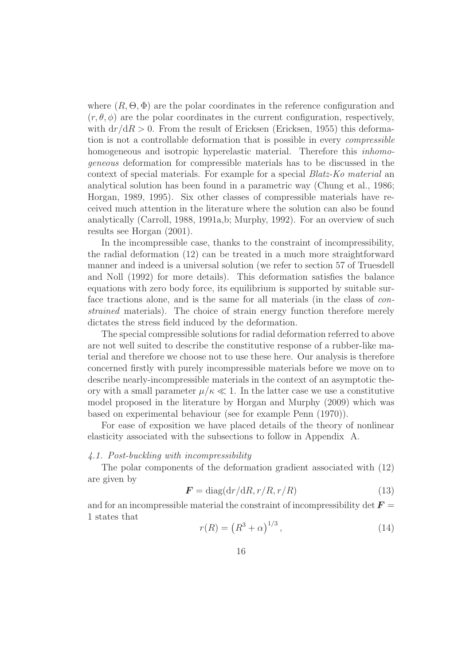where  $(R, \Theta, \Phi)$  are the polar coordinates in the reference configuration and  $(r, \theta, \phi)$  are the polar coordinates in the current configuration, respectively, with  $dr/dR > 0$ . From the result of Ericksen (Ericksen, 1955) this deformation is not a controllable deformation that is possible in every compressible homogeneous and isotropic hyperelastic material. Therefore this *inhomo*geneous deformation for compressible materials has to be discussed in the context of special materials. For example for a special Blatz-Ko material an analytical solution has been found in a parametric way (Chung et al., 1986; Horgan, 1989, 1995). Six other classes of compressible materials have received much attention in the literature where the solution can also be found analytically (Carroll, 1988, 1991a,b; Murphy, 1992). For an overview of such results see Horgan (2001).

In the incompressible case, thanks to the constraint of incompressibility, the radial deformation (12) can be treated in a much more straightforward manner and indeed is a universal solution (we refer to section 57 of Truesdell and Noll (1992) for more details). This deformation satisfies the balance equations with zero body force, its equilibrium is supported by suitable surface tractions alone, and is the same for all materials (in the class of constrained materials). The choice of strain energy function therefore merely dictates the stress field induced by the deformation.

The special compressible solutions for radial deformation referred to above are not well suited to describe the constitutive response of a rubber-like material and therefore we choose not to use these here. Our analysis is therefore concerned firstly with purely incompressible materials before we move on to describe nearly-incompressible materials in the context of an asymptotic theory with a small parameter  $\mu/\kappa \ll 1$ . In the latter case we use a constitutive model proposed in the literature by Horgan and Murphy (2009) which was based on experimental behaviour (see for example Penn (1970)).

For ease of exposition we have placed details of the theory of nonlinear elasticity associated with the subsections to follow in Appendix A.

## 4.1. Post-buckling with incompressibility

The polar components of the deformation gradient associated with (12) are given by

$$
\boldsymbol{F} = \text{diag}(\mathrm{d}r/\mathrm{d}R, r/R, r/R) \tag{13}
$$

and for an incompressible material the constraint of incompressibility det  $\boldsymbol{F} =$ 1 states that

$$
r(R) = (R^3 + \alpha)^{1/3},
$$
\n(14)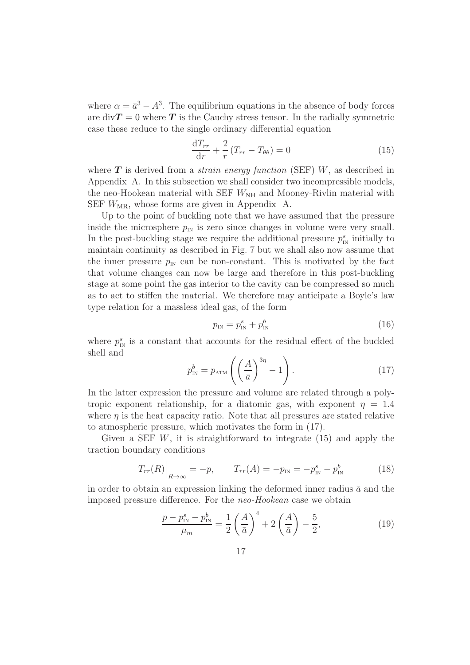where  $\alpha = \bar{a}^3 - A^3$ . The equilibrium equations in the absence of body forces are div $T = 0$  where T is the Cauchy stress tensor. In the radially symmetric case these reduce to the single ordinary differential equation

$$
\frac{\mathrm{d}T_{rr}}{\mathrm{d}r} + \frac{2}{r}\left(T_{rr} - T_{\theta\theta}\right) = 0\tag{15}
$$

where  $T$  is derived from a *strain energy function* (SEF)  $W$ , as described in Appendix A. In this subsection we shall consider two incompressible models, the neo-Hookean material with SEF  $W_{\text{NH}}$  and Mooney-Rivlin material with SEF  $W_{\text{MR}}$ , whose forms are given in Appendix A.

Up to the point of buckling note that we have assumed that the pressure inside the microsphere  $p_{\text{IN}}$  is zero since changes in volume were very small. In the post-buckling stage we require the additional pressure  $p_{\rm N}^s$  initially to maintain continuity as described in Fig. 7 but we shall also now assume that the inner pressure  $p_{\text{IN}}$  can be non-constant. This is motivated by the fact that volume changes can now be large and therefore in this post-buckling stage at some point the gas interior to the cavity can be compressed so much as to act to stiffen the material. We therefore may anticipate a Boyle's law type relation for a massless ideal gas, of the form

$$
p_{\rm IN} = p_{\rm IN}^s + p_{\rm IN}^b \tag{16}
$$

where  $p_{\rm IN}^s$  is a constant that accounts for the residual effect of the buckled shell and

$$
p_{\text{IN}}^b = p_{\text{ATM}} \left( \left( \frac{A}{\bar{a}} \right)^{3\eta} - 1 \right). \tag{17}
$$

In the latter expression the pressure and volume are related through a polytropic exponent relationship, for a diatomic gas, with exponent  $\eta = 1.4$ where  $\eta$  is the heat capacity ratio. Note that all pressures are stated relative to atmospheric pressure, which motivates the form in (17).

Given a SEF  $W$ , it is straightforward to integrate (15) and apply the traction boundary conditions

$$
T_{rr}(R)\Big|_{R\to\infty} = -p, \qquad T_{rr}(A) = -p_{\text{IN}} = -p_{\text{IN}}^s - p_{\text{IN}}^b \tag{18}
$$

in order to obtain an expression linking the deformed inner radius  $\bar{a}$  and the imposed pressure difference. For the neo-Hookean case we obtain

$$
\frac{p - p_{\text{IN}}^s - p_{\text{IN}}^b}{\mu_m} = \frac{1}{2} \left( \frac{A}{\bar{a}} \right)^4 + 2 \left( \frac{A}{\bar{a}} \right) - \frac{5}{2},\tag{19}
$$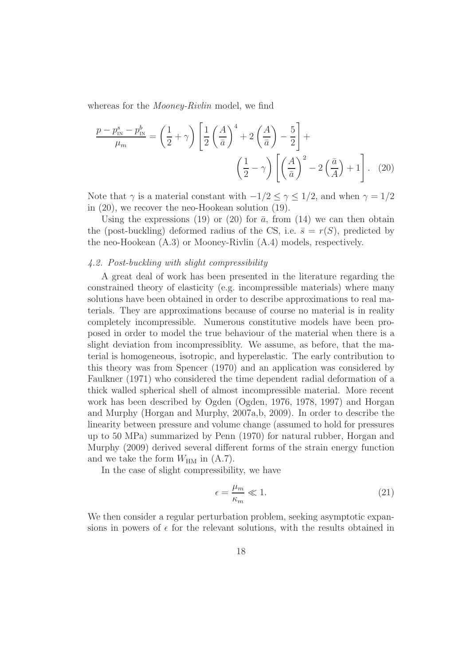whereas for the *Mooney-Rivlin* model, we find

$$
\frac{p - p_{\text{IN}}^s - p_{\text{IN}}^b}{\mu_m} = \left(\frac{1}{2} + \gamma\right) \left[\frac{1}{2} \left(\frac{A}{\bar{a}}\right)^4 + 2\left(\frac{A}{\bar{a}}\right) - \frac{5}{2}\right] + \left(\frac{1}{\bar{a}} - \gamma\right) \left[\left(\frac{A}{\bar{a}}\right)^2 - 2\left(\frac{\bar{a}}{A}\right) + 1\right]. \tag{20}
$$

Note that  $\gamma$  is a material constant with  $-1/2 \leq \gamma \leq 1/2$ , and when  $\gamma = 1/2$ in (20), we recover the neo-Hookean solution (19).

Using the expressions (19) or (20) for  $\bar{a}$ , from (14) we can then obtain the (post-buckling) deformed radius of the CS, i.e.  $\bar{s} = r(S)$ , predicted by the neo-Hookean (A.3) or Mooney-Rivlin (A.4) models, respectively.

## 4.2. Post-buckling with slight compressibility

A great deal of work has been presented in the literature regarding the constrained theory of elasticity (e.g. incompressible materials) where many solutions have been obtained in order to describe approximations to real materials. They are approximations because of course no material is in reality completely incompressible. Numerous constitutive models have been proposed in order to model the true behaviour of the material when there is a slight deviation from incompressiblity. We assume, as before, that the material is homogeneous, isotropic, and hyperelastic. The early contribution to this theory was from Spencer (1970) and an application was considered by Faulkner (1971) who considered the time dependent radial deformation of a thick walled spherical shell of almost incompressible material. More recent work has been described by Ogden (Ogden, 1976, 1978, 1997) and Horgan and Murphy (Horgan and Murphy, 2007a,b, 2009). In order to describe the linearity between pressure and volume change (assumed to hold for pressures up to 50 MPa) summarized by Penn (1970) for natural rubber, Horgan and Murphy (2009) derived several different forms of the strain energy function and we take the form  $W_{HM}$  in  $(A.7)$ .

In the case of slight compressibility, we have

$$
\epsilon = \frac{\mu_m}{\kappa_m} \ll 1. \tag{21}
$$

We then consider a regular perturbation problem, seeking asymptotic expansions in powers of  $\epsilon$  for the relevant solutions, with the results obtained in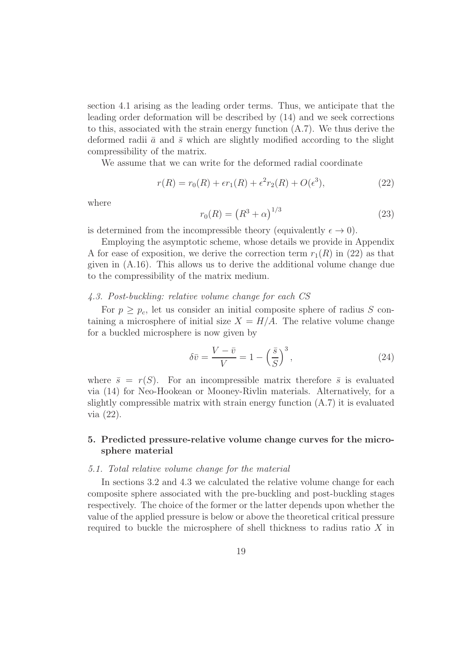section 4.1 arising as the leading order terms. Thus, we anticipate that the leading order deformation will be described by (14) and we seek corrections to this, associated with the strain energy function  $(A.7)$ . We thus derive the deformed radii  $\bar{a}$  and  $\bar{s}$  which are slightly modified according to the slight compressibility of the matrix.

We assume that we can write for the deformed radial coordinate

$$
r(R) = r_0(R) + \epsilon r_1(R) + \epsilon^2 r_2(R) + O(\epsilon^3), \qquad (22)
$$

where

$$
r_0(R) = (R^3 + \alpha)^{1/3}
$$
 (23)

is determined from the incompressible theory (equivalently  $\epsilon \to 0$ ).

Employing the asymptotic scheme, whose details we provide in Appendix A for ease of exposition, we derive the correction term  $r_1(R)$  in (22) as that given in (A.16). This allows us to derive the additional volume change due to the compressibility of the matrix medium.

## 4.3. Post-buckling: relative volume change for each CS

For  $p \geq p_c$ , let us consider an initial composite sphere of radius S containing a microsphere of initial size  $X = H/A$ . The relative volume change for a buckled microsphere is now given by

$$
\delta \bar{v} = \frac{V - \bar{v}}{V} = 1 - \left(\frac{\bar{s}}{S}\right)^3,\tag{24}
$$

where  $\bar{s} = r(S)$ . For an incompressible matrix therefore  $\bar{s}$  is evaluated via (14) for Neo-Hookean or Mooney-Rivlin materials. Alternatively, for a slightly compressible matrix with strain energy function (A.7) it is evaluated via (22).

## 5. Predicted pressure-relative volume change curves for the microsphere material

#### 5.1. Total relative volume change for the material

In sections 3.2 and 4.3 we calculated the relative volume change for each composite sphere associated with the pre-buckling and post-buckling stages respectively. The choice of the former or the latter depends upon whether the value of the applied pressure is below or above the theoretical critical pressure required to buckle the microsphere of shell thickness to radius ratio X in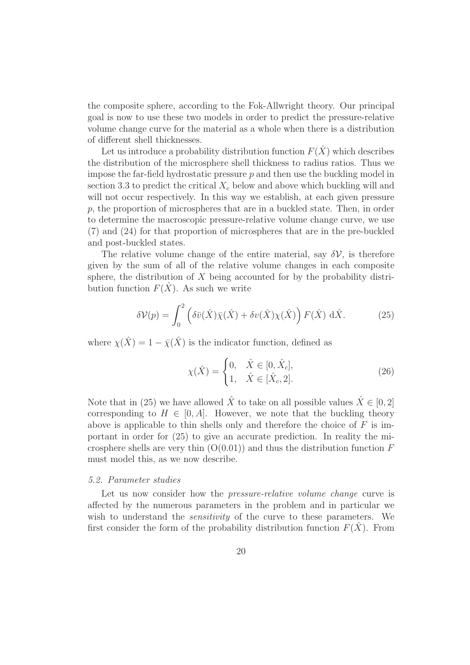the composite sphere, according to the Fok-Allwright theory. Our principal goal is now to use these two models in order to predict the pressure-relative volume change curve for the material as a whole when there is a distribution of different shell thicknesses.

Let us introduce a probability distribution function  $F(\hat{X})$  which describes the distribution of the microsphere shell thickness to radius ratios. Thus we impose the far-field hydrostatic pressure  $p$  and then use the buckling model in section 3.3 to predict the critical  $X_c$  below and above which buckling will and will not occur respectively. In this way we establish, at each given pressure  $p$ , the proportion of microspheres that are in a buckled state. Then, in order to determine the macroscopic pressure-relative volume change curve, we use (7) and (24) for that proportion of microspheres that are in the pre-buckled and post-buckled states.

The relative volume change of the entire material, say  $\delta \mathcal{V}$ , is therefore given by the sum of all of the relative volume changes in each composite sphere, the distribution of  $X$  being accounted for by the probability distribution function  $F(X)$ . As such we write

$$
\delta \mathcal{V}(p) = \int_0^2 \left( \delta \bar{v}(\hat{X}) \bar{\chi}(\hat{X}) + \delta v(\hat{X}) \chi(\hat{X}) \right) F(\hat{X}) \, d\hat{X}.
$$
 (25)

where  $\chi(\hat{X}) = 1 - \bar{\chi}(\hat{X})$  is the indicator function, defined as

$$
\chi(\hat{X}) = \begin{cases} 0, & \hat{X} \in [0, \hat{X}_c], \\ 1, & \hat{X} \in [\hat{X}_c, 2]. \end{cases}
$$
(26)

Note that in (25) we have allowed  $\hat{X}$  to take on all possible values  $\hat{X} \in [0, 2]$ corresponding to  $H \in [0, A]$ . However, we note that the buckling theory above is applicable to thin shells only and therefore the choice of  $F$  is important in order for (25) to give an accurate prediction. In reality the microsphere shells are very thin  $(O(0.01))$  and thus the distribution function F must model this, as we now describe.

#### 5.2. Parameter studies

Let us now consider how the *pressure-relative volume change* curve is affected by the numerous parameters in the problem and in particular we wish to understand the *sensitivity* of the curve to these parameters. We first consider the form of the probability distribution function  $F(X)$ . From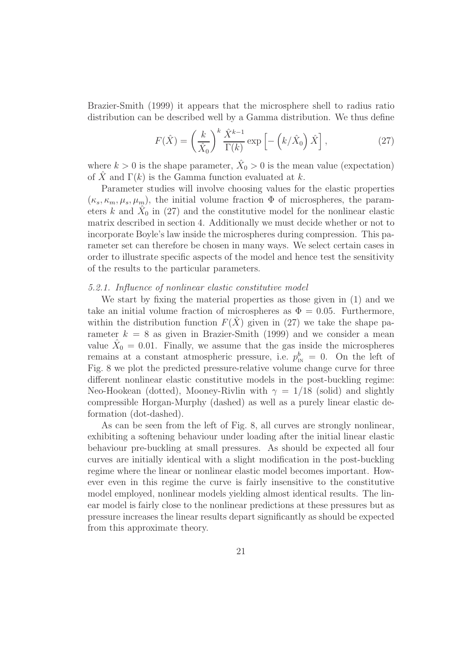Brazier-Smith (1999) it appears that the microsphere shell to radius ratio distribution can be described well by a Gamma distribution. We thus define

$$
F(\hat{X}) = \left(\frac{k}{\hat{X}_0}\right)^k \frac{\hat{X}^{k-1}}{\Gamma(k)} \exp\left[-\left(k/\hat{X}_0\right)\hat{X}\right],\tag{27}
$$

where  $k > 0$  is the shape parameter,  $\hat{X}_0 > 0$  is the mean value (expectation) of  $\hat{X}$  and  $\Gamma(k)$  is the Gamma function evaluated at k.

Parameter studies will involve choosing values for the elastic properties  $(\kappa_s, \kappa_m, \mu_s, \mu_m)$ , the initial volume fraction  $\Phi$  of microspheres, the parameters k and  $\hat{X}_0$  in (27) and the constitutive model for the nonlinear elastic matrix described in section 4. Additionally we must decide whether or not to incorporate Boyle's law inside the microspheres during compression. This parameter set can therefore be chosen in many ways. We select certain cases in order to illustrate specific aspects of the model and hence test the sensitivity of the results to the particular parameters.

## 5.2.1. Influence of nonlinear elastic constitutive model

We start by fixing the material properties as those given in (1) and we take an initial volume fraction of microspheres as  $\Phi = 0.05$ . Furthermore, within the distribution function  $F(\hat{X})$  given in (27) we take the shape parameter  $k = 8$  as given in Brazier-Smith (1999) and we consider a mean value  $\hat{X}_0 = 0.01$ . Finally, we assume that the gas inside the microspheres remains at a constant atmospheric pressure, i.e.  $p_{\text{IN}}^b = 0$ . On the left of Fig. 8 we plot the predicted pressure-relative volume change curve for three different nonlinear elastic constitutive models in the post-buckling regime: Neo-Hookean (dotted), Mooney-Rivlin with  $\gamma = 1/18$  (solid) and slightly compressible Horgan-Murphy (dashed) as well as a purely linear elastic deformation (dot-dashed).

As can be seen from the left of Fig. 8, all curves are strongly nonlinear, exhibiting a softening behaviour under loading after the initial linear elastic behaviour pre-buckling at small pressures. As should be expected all four curves are initially identical with a slight modification in the post-buckling regime where the linear or nonlinear elastic model becomes important. However even in this regime the curve is fairly insensitive to the constitutive model employed, nonlinear models yielding almost identical results. The linear model is fairly close to the nonlinear predictions at these pressures but as pressure increases the linear results depart significantly as should be expected from this approximate theory.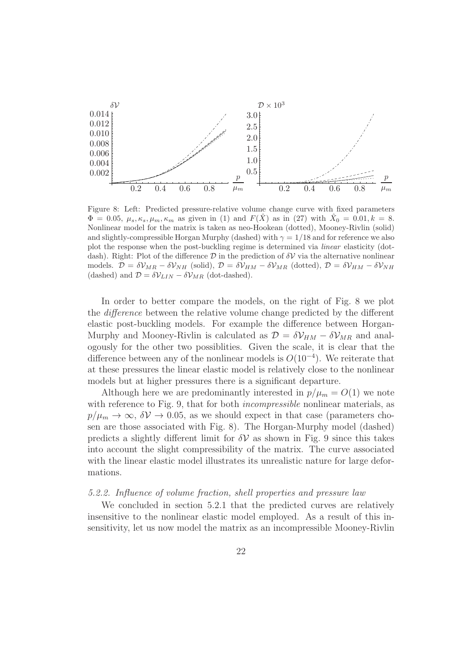

Figure 8: Left: Predicted pressure-relative volume change curve with fixed parameters  $\Phi = 0.05, \mu_s, \kappa_s, \mu_m, \kappa_m$  as given in (1) and  $F(\hat{X})$  as in (27) with  $\hat{X}_0 = 0.01, k = 8$ . Nonlinear model for the matrix is taken as neo-Hookean (dotted), Mooney-Rivlin (solid) and slightly-compressible Horgan Murphy (dashed) with  $\gamma = 1/18$  and for reference we also plot the response when the post-buckling regime is determined via linear elasticity (dotdash). Right: Plot of the difference  $\mathcal D$  in the prediction of  $\delta \mathcal V$  via the alternative nonlinear models.  $\mathcal{D} = \delta \mathcal{V}_{MR} - \delta \mathcal{V}_{NH}$  (solid),  $\mathcal{D} = \delta \mathcal{V}_{HM} - \delta \mathcal{V}_{MR}$  (dotted),  $\mathcal{D} = \delta \mathcal{V}_{HM} - \delta \mathcal{V}_{NH}$ (dashed) and  $\mathcal{D} = \delta \mathcal{V}_{LIN} - \delta \mathcal{V}_{MR}$  (dot-dashed).

In order to better compare the models, on the right of Fig. 8 we plot the difference between the relative volume change predicted by the different elastic post-buckling models. For example the difference between Horgan-Murphy and Mooney-Rivlin is calculated as  $\mathcal{D} = \delta \mathcal{V}_{HM} - \delta \mathcal{V}_{MR}$  and analogously for the other two possiblities. Given the scale, it is clear that the difference between any of the nonlinear models is  $O(10^{-4})$ . We reiterate that at these pressures the linear elastic model is relatively close to the nonlinear models but at higher pressures there is a significant departure.

Although here we are predominantly interested in  $p/\mu_m = O(1)$  we note with reference to Fig. 9, that for both *incompressible* nonlinear materials, as  $p/\mu_m \to \infty$ ,  $\delta V \to 0.05$ , as we should expect in that case (parameters chosen are those associated with Fig. 8). The Horgan-Murphy model (dashed) predicts a slightly different limit for  $\delta V$  as shown in Fig. 9 since this takes into account the slight compressibility of the matrix. The curve associated with the linear elastic model illustrates its unrealistic nature for large deformations.

### 5.2.2. Influence of volume fraction, shell properties and pressure law

We concluded in section 5.2.1 that the predicted curves are relatively insensitive to the nonlinear elastic model employed. As a result of this insensitivity, let us now model the matrix as an incompressible Mooney-Rivlin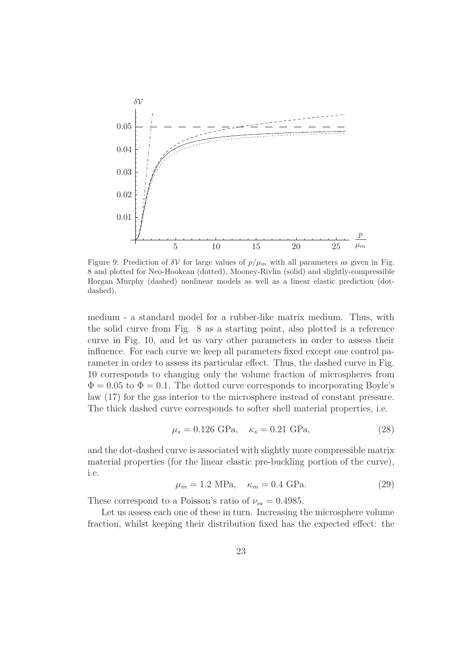

Figure 9: Prediction of  $\delta V$  for large values of  $p/\mu_m$  with all parameters as given in Fig. 8 and plotted for Neo-Hookean (dotted), Mooney-Rivlin (solid) and slightly-compressible Horgan Murphy (dashed) nonlinear models as well as a linear elastic prediction (dotdashed).

medium - a standard model for a rubber-like matrix medium. Thus, with the solid curve from Fig. 8 as a starting point, also plotted is a reference curve in Fig. 10, and let us vary other parameters in order to assess their influence. For each curve we keep all parameters fixed except one control parameter in order to assess its particular effect. Thus, the dashed curve in Fig. 10 corresponds to changing only the volume fraction of microspheres from  $\Phi = 0.05$  to  $\Phi = 0.1$ . The dotted curve corresponds to incorporating Boyle's law (17) for the gas interior to the microsphere instead of constant pressure. The thick dashed curve corresponds to softer shell material properties, i.e.

$$
\mu_s = 0.126 \text{ GPa}, \quad \kappa_s = 0.21 \text{ GPa}, \tag{28}
$$

and the dot-dashed curve is associated with slightly more compressible matrix material properties (for the linear elastic pre-buckling portion of the curve), i.e.

$$
\mu_m = 1.2 \text{ MPa}, \quad \kappa_m = 0.4 \text{ GPa}.
$$
\n(29)

These correspond to a Poisson's ratio of  $\nu_m = 0.4985$ .

Let us assess each one of these in turn. Increasing the microsphere volume fraction, whilst keeping their distribution fixed has the expected effect: the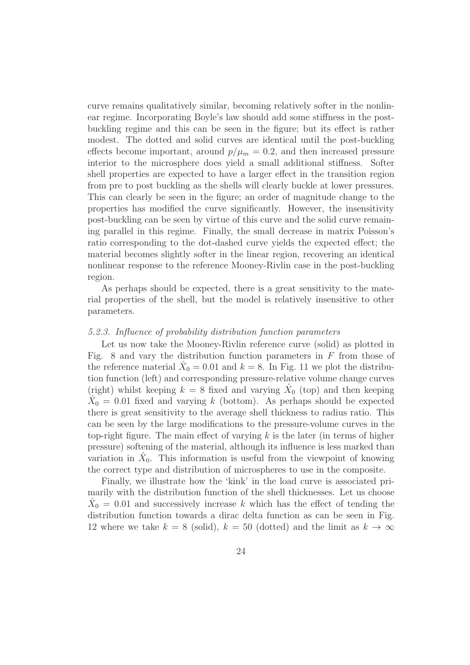curve remains qualitatively similar, becoming relatively softer in the nonlinear regime. Incorporating Boyle's law should add some stiffness in the postbuckling regime and this can be seen in the figure; but its effect is rather modest. The dotted and solid curves are identical until the post-buckling effects become important, around  $p/\mu_m = 0.2$ , and then increased pressure interior to the microsphere does yield a small additional stiffness. Softer shell properties are expected to have a larger effect in the transition region from pre to post buckling as the shells will clearly buckle at lower pressures. This can clearly be seen in the figure; an order of magnitude change to the properties has modified the curve significantly. However, the insensitivity post-buckling can be seen by virtue of this curve and the solid curve remaining parallel in this regime. Finally, the small decrease in matrix Poisson's ratio corresponding to the dot-dashed curve yields the expected effect; the material becomes slightly softer in the linear region, recovering an identical nonlinear response to the reference Mooney-Rivlin case in the post-buckling region.

As perhaps should be expected, there is a great sensitivity to the material properties of the shell, but the model is relatively insensitive to other parameters.

### 5.2.3. Influence of probability distribution function parameters

Let us now take the Mooney-Rivlin reference curve (solid) as plotted in Fig. 8 and vary the distribution function parameters in  $F$  from those of the reference material  $\hat{X}_0 = 0.01$  and  $k = 8$ . In Fig. 11 we plot the distribution function (left) and corresponding pressure-relative volume change curves (right) whilst keeping  $k = 8$  fixed and varying  $\hat{X}_0$  (top) and then keeping  $\hat{X}_0 = 0.01$  fixed and varying k (bottom). As perhaps should be expected there is great sensitivity to the average shell thickness to radius ratio. This can be seen by the large modifications to the pressure-volume curves in the top-right figure. The main effect of varying  $k$  is the later (in terms of higher pressure) softening of the material, although its influence is less marked than variation in  $\hat{X}_0$ . This information is useful from the viewpoint of knowing the correct type and distribution of microspheres to use in the composite.

Finally, we illustrate how the 'kink' in the load curve is associated primarily with the distribution function of the shell thicknesses. Let us choose  $\hat{X}_0 = 0.01$  and successively increase k which has the effect of tending the distribution function towards a dirac delta function as can be seen in Fig. 12 where we take  $k = 8$  (solid),  $k = 50$  (dotted) and the limit as  $k \to \infty$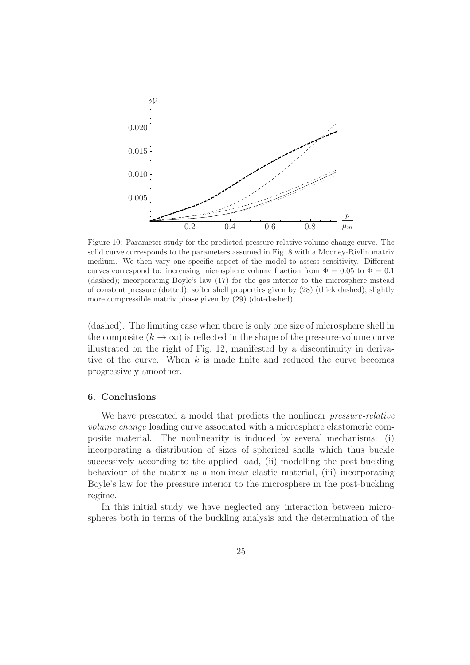

Figure 10: Parameter study for the predicted pressure-relative volume change curve. The solid curve corresponds to the parameters assumed in Fig. 8 with a Mooney-Rivlin matrix medium. We then vary one specific aspect of the model to assess sensitivity. Different curves correspond to: increasing microsphere volume fraction from  $\Phi = 0.05$  to  $\Phi = 0.1$ (dashed); incorporating Boyle's law (17) for the gas interior to the microsphere instead of constant pressure (dotted); softer shell properties given by (28) (thick dashed); slightly more compressible matrix phase given by (29) (dot-dashed).

(dashed). The limiting case when there is only one size of microsphere shell in the composite  $(k \to \infty)$  is reflected in the shape of the pressure-volume curve illustrated on the right of Fig. 12, manifested by a discontinuity in derivative of the curve. When  $k$  is made finite and reduced the curve becomes progressively smoother.

## 6. Conclusions

We have presented a model that predicts the nonlinear *pressure-relative* volume change loading curve associated with a microsphere elastomeric composite material. The nonlinearity is induced by several mechanisms: (i) incorporating a distribution of sizes of spherical shells which thus buckle successively according to the applied load, (ii) modelling the post-buckling behaviour of the matrix as a nonlinear elastic material, (iii) incorporating Boyle's law for the pressure interior to the microsphere in the post-buckling regime.

In this initial study we have neglected any interaction between microspheres both in terms of the buckling analysis and the determination of the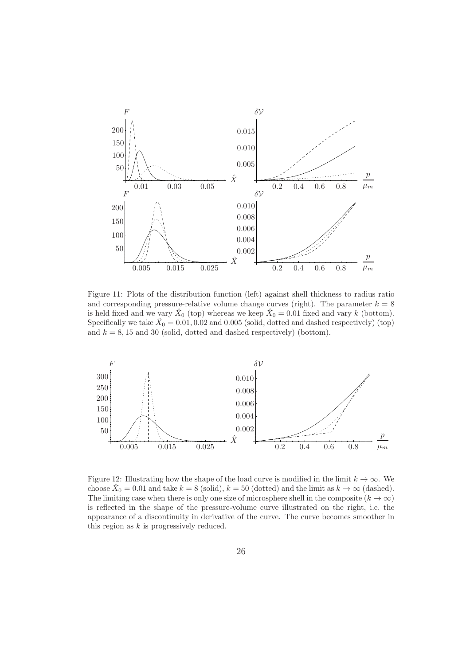

Figure 11: Plots of the distribution function (left) against shell thickness to radius ratio and corresponding pressure-relative volume change curves (right). The parameter  $k = 8$ is held fixed and we vary  $\hat{X}_0$  (top) whereas we keep  $\hat{X}_0 = 0.01$  fixed and vary k (bottom). Specifically we take  $\hat{X}_0 = 0.01, 0.02$  and 0.005 (solid, dotted and dashed respectively) (top) and  $k = 8, 15$  and 30 (solid, dotted and dashed respectively) (bottom).



Figure 12: Illustrating how the shape of the load curve is modified in the limit  $k \to \infty$ . We choose  $\hat{X}_0 = 0.01$  and take  $k = 8$  (solid),  $k = 50$  (dotted) and the limit as  $k \to \infty$  (dashed). The limiting case when there is only one size of microsphere shell in the composite  $(k \to \infty)$ is reflected in the shape of the pressure-volume curve illustrated on the right, i.e. the appearance of a discontinuity in derivative of the curve. The curve becomes smoother in this region as  $k$  is progressively reduced.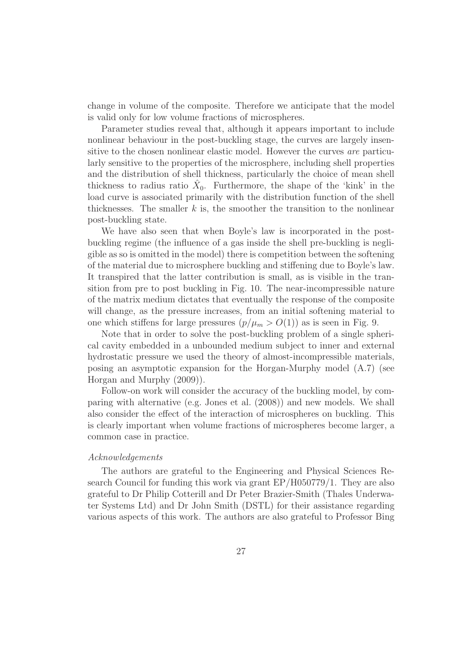change in volume of the composite. Therefore we anticipate that the model is valid only for low volume fractions of microspheres.

Parameter studies reveal that, although it appears important to include nonlinear behaviour in the post-buckling stage, the curves are largely insensitive to the chosen nonlinear elastic model. However the curves are particularly sensitive to the properties of the microsphere, including shell properties and the distribution of shell thickness, particularly the choice of mean shell thickness to radius ratio  $\hat{X}_0$ . Furthermore, the shape of the 'kink' in the load curve is associated primarily with the distribution function of the shell thicknesses. The smaller  $k$  is, the smoother the transition to the nonlinear post-buckling state.

We have also seen that when Boyle's law is incorporated in the postbuckling regime (the influence of a gas inside the shell pre-buckling is negligible as so is omitted in the model) there is competition between the softening of the material due to microsphere buckling and stiffening due to Boyle's law. It transpired that the latter contribution is small, as is visible in the transition from pre to post buckling in Fig. 10. The near-incompressible nature of the matrix medium dictates that eventually the response of the composite will change, as the pressure increases, from an initial softening material to one which stiffens for large pressures  $(p/\mu_m > O(1))$  as is seen in Fig. 9.

Note that in order to solve the post-buckling problem of a single spherical cavity embedded in a unbounded medium subject to inner and external hydrostatic pressure we used the theory of almost-incompressible materials, posing an asymptotic expansion for the Horgan-Murphy model (A.7) (see Horgan and Murphy (2009)).

Follow-on work will consider the accuracy of the buckling model, by comparing with alternative (e.g. Jones et al. (2008)) and new models. We shall also consider the effect of the interaction of microspheres on buckling. This is clearly important when volume fractions of microspheres become larger, a common case in practice.

#### Acknowledgements

The authors are grateful to the Engineering and Physical Sciences Research Council for funding this work via grant EP/H050779/1. They are also grateful to Dr Philip Cotterill and Dr Peter Brazier-Smith (Thales Underwater Systems Ltd) and Dr John Smith (DSTL) for their assistance regarding various aspects of this work. The authors are also grateful to Professor Bing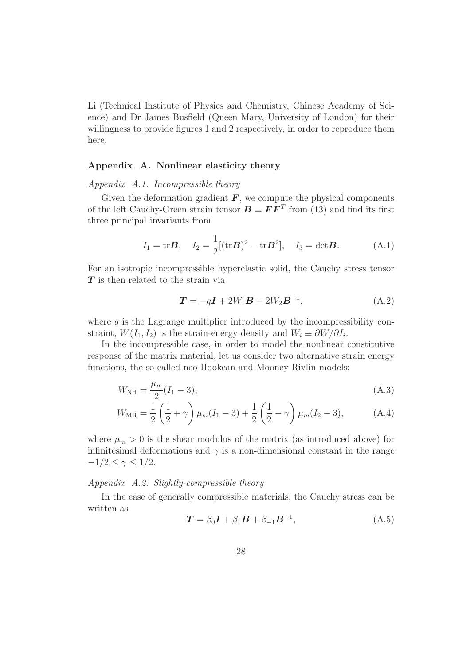Li (Technical Institute of Physics and Chemistry, Chinese Academy of Science) and Dr James Busfield (Queen Mary, University of London) for their willingness to provide figures 1 and 2 respectively, in order to reproduce them here.

## Appendix A. Nonlinear elasticity theory

Appendix A.1. Incompressible theory

Given the deformation gradient  $\boldsymbol{F}$ , we compute the physical components of the left Cauchy-Green strain tensor  $\mathbf{B} \equiv \mathbf{F} \mathbf{F}^T$  from (13) and find its first three principal invariants from

$$
I_1 = \text{tr} \mathbf{B}, \quad I_2 = \frac{1}{2} [(\text{tr} \mathbf{B})^2 - \text{tr} \mathbf{B}^2], \quad I_3 = \text{det} \mathbf{B}.
$$
 (A.1)

For an isotropic incompressible hyperelastic solid, the Cauchy stress tensor T is then related to the strain via

$$
\boldsymbol{T} = -q\boldsymbol{I} + 2W_1\boldsymbol{B} - 2W_2\boldsymbol{B}^{-1},\tag{A.2}
$$

where  $q$  is the Lagrange multiplier introduced by the incompressibility constraint,  $W(I_1, I_2)$  is the strain-energy density and  $W_i \equiv \partial W/\partial I_i$ .

In the incompressible case, in order to model the nonlinear constitutive response of the matrix material, let us consider two alternative strain energy functions, the so-called neo-Hookean and Mooney-Rivlin models:

$$
W_{\rm NH} = \frac{\mu_m}{2} (I_1 - 3), \tag{A.3}
$$

$$
W_{\text{MR}} = \frac{1}{2} \left( \frac{1}{2} + \gamma \right) \mu_m (I_1 - 3) + \frac{1}{2} \left( \frac{1}{2} - \gamma \right) \mu_m (I_2 - 3), \tag{A.4}
$$

where  $\mu_m > 0$  is the shear modulus of the matrix (as introduced above) for infinitesimal deformations and  $\gamma$  is a non-dimensional constant in the range  $-1/2 \leq \gamma \leq 1/2$ .

## Appendix A.2. Slightly-compressible theory

In the case of generally compressible materials, the Cauchy stress can be written as

$$
\boldsymbol{T} = \beta_0 \boldsymbol{I} + \beta_1 \boldsymbol{B} + \beta_{-1} \boldsymbol{B}^{-1}, \tag{A.5}
$$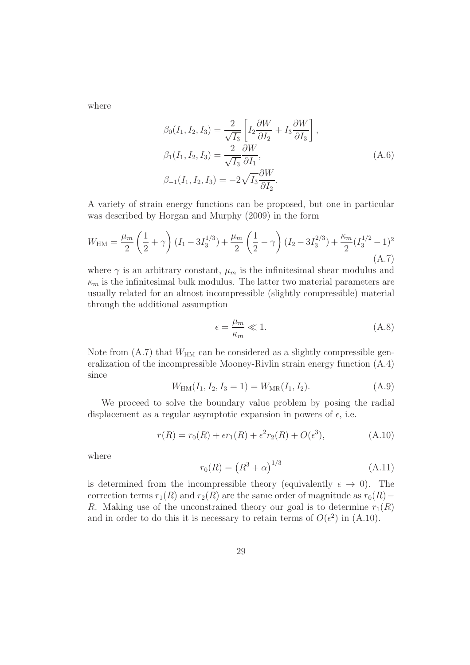where

$$
\beta_0(I_1, I_2, I_3) = \frac{2}{\sqrt{I_3}} \left[ I_2 \frac{\partial W}{\partial I_2} + I_3 \frac{\partial W}{\partial I_3} \right],
$$
  
\n
$$
\beta_1(I_1, I_2, I_3) = \frac{2}{\sqrt{I_3}} \frac{\partial W}{\partial I_1},
$$
  
\n
$$
\beta_{-1}(I_1, I_2, I_3) = -2\sqrt{I_3} \frac{\partial W}{\partial I_2}.
$$
\n(A.6)

A variety of strain energy functions can be proposed, but one in particular was described by Horgan and Murphy (2009) in the form

$$
W_{\rm HM} = \frac{\mu_m}{2} \left( \frac{1}{2} + \gamma \right) (I_1 - 3I_3^{1/3}) + \frac{\mu_m}{2} \left( \frac{1}{2} - \gamma \right) (I_2 - 3I_3^{2/3}) + \frac{\kappa_m}{2} (I_3^{1/2} - 1)^2
$$
\n(A.7)

where  $\gamma$  is an arbitrary constant,  $\mu_m$  is the infinitesimal shear modulus and  $\kappa_m$  is the infinitesimal bulk modulus. The latter two material parameters are usually related for an almost incompressible (slightly compressible) material through the additional assumption

$$
\epsilon = \frac{\mu_m}{\kappa_m} \ll 1. \tag{A.8}
$$

Note from  $(A.7)$  that  $W_{HM}$  can be considered as a slightly compressible generalization of the incompressible Mooney-Rivlin strain energy function (A.4) since

$$
W_{\text{HM}}(I_1, I_2, I_3 = 1) = W_{\text{MR}}(I_1, I_2). \tag{A.9}
$$

We proceed to solve the boundary value problem by posing the radial displacement as a regular asymptotic expansion in powers of  $\epsilon$ , i.e.

$$
r(R) = r_0(R) + \epsilon r_1(R) + \epsilon^2 r_2(R) + O(\epsilon^3), \tag{A.10}
$$

where

$$
r_0(R) = (R^3 + \alpha)^{1/3}
$$
 (A.11)

is determined from the incompressible theory (equivalently  $\epsilon \to 0$ ). The correction terms  $r_1(R)$  and  $r_2(R)$  are the same order of magnitude as  $r_0(R)-$ R. Making use of the unconstrained theory our goal is to determine  $r_1(R)$ and in order to do this it is necessary to retain terms of  $O(\epsilon^2)$  in (A.10).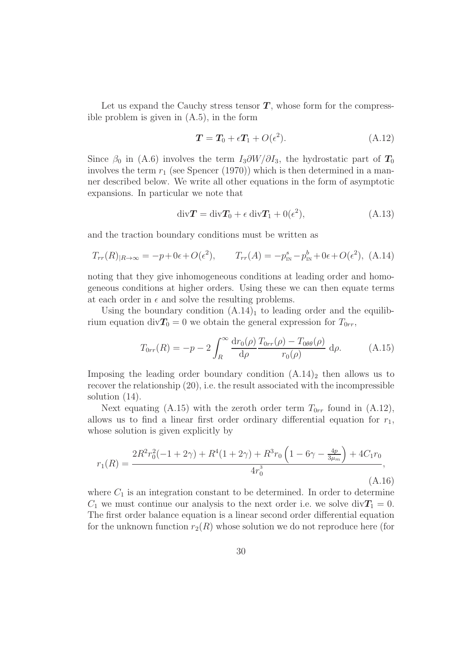Let us expand the Cauchy stress tensor  $T$ , whose form for the compressible problem is given in (A.5), in the form

$$
T = T_0 + \epsilon T_1 + O(\epsilon^2). \tag{A.12}
$$

Since  $\beta_0$  in (A.6) involves the term  $I_3\partial W/\partial I_3$ , the hydrostatic part of  $T_0$ involves the term  $r_1$  (see Spencer (1970)) which is then determined in a manner described below. We write all other equations in the form of asymptotic expansions. In particular we note that

$$
\text{div}\mathbf{T} = \text{div}\mathbf{T}_0 + \epsilon \text{ div}\mathbf{T}_1 + 0(\epsilon^2), \tag{A.13}
$$

and the traction boundary conditions must be written as

$$
T_{rr}(R)_{|R\to\infty} = -p + 0\epsilon + O(\epsilon^2), \qquad T_{rr}(A) = -p_{\rm IN}^s - p_{\rm IN}^b + 0\epsilon + O(\epsilon^2), \tag{A.14}
$$

noting that they give inhomogeneous conditions at leading order and homogeneous conditions at higher orders. Using these we can then equate terms at each order in  $\epsilon$  and solve the resulting problems.

Using the boundary condition  $(A.14)<sub>1</sub>$  to leading order and the equilibrium equation div $T_0 = 0$  we obtain the general expression for  $T_{0rr}$ ,

$$
T_{0rr}(R) = -p - 2 \int_R^{\infty} \frac{\mathrm{d}r_0(\rho)}{\mathrm{d}\rho} \frac{T_{0rr}(\rho) - T_{0\theta\theta}(\rho)}{r_0(\rho)} \,\mathrm{d}\rho. \tag{A.15}
$$

Imposing the leading order boundary condition  $(A.14)_2$  then allows us to recover the relationship (20), i.e. the result associated with the incompressible solution (14).

Next equating (A.15) with the zeroth order term  $T_{0rr}$  found in (A.12), allows us to find a linear first order ordinary differential equation for  $r_1$ , whose solution is given explicitly by

$$
r_1(R) = \frac{2R^2r_0^2(-1+2\gamma) + R^4(1+2\gamma) + R^3r_0\left(1-6\gamma - \frac{4p}{3\mu_m}\right) + 4C_1r_0}{4r_0^3},\tag{A.16}
$$

where  $C_1$  is an integration constant to be determined. In order to determine  $C_1$  we must continue our analysis to the next order i.e. we solve div $T_1 = 0$ . The first order balance equation is a linear second order differential equation for the unknown function  $r_2(R)$  whose solution we do not reproduce here (for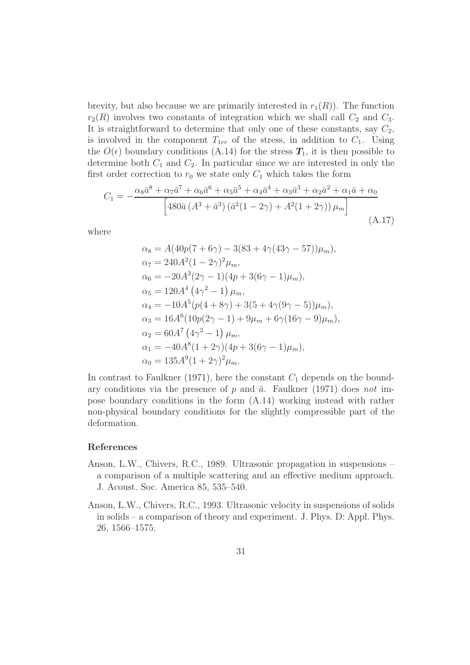brevity, but also because we are primarily interested in  $r_1(R)$ ). The function  $r_2(R)$  involves two constants of integration which we shall call  $C_2$  and  $C_3$ . It is straightforward to determine that only one of these constants, say  $C_2$ , is involved in the component  $T_{1rr}$  of the stress, in addition to  $C_1$ . Using the  $O(\epsilon)$  boundary conditions (A.14) for the stress  $T_1$ , it is then possible to determine both  $C_1$  and  $C_2$ . In particular since we are interested in only the first order correction to  $r_0$  we state only  $C_1$  which takes the form

$$
C_{1} = -\frac{\alpha_{8}\bar{a}^{8} + \alpha_{7}\bar{a}^{7} + \alpha_{6}\bar{a}^{6} + \alpha_{5}\bar{a}^{5} + \alpha_{4}\bar{a}^{4} + \alpha_{3}\bar{a}^{3} + \alpha_{2}\bar{a}^{2} + \alpha_{1}\bar{a} + \alpha_{0}}{[480\bar{a} (A^{3} + \bar{a}^{3}) (\bar{a}^{2}(1 - 2\gamma) + A^{2}(1 + 2\gamma)) \mu_{m}]} \tag{A.17}
$$

where

$$
\alpha_8 = A(40p(7 + 6\gamma) - 3(83 + 4\gamma(43\gamma - 57))\mu_m),
$$
  
\n
$$
\alpha_7 = 240A^2(1 - 2\gamma)^2 \mu_m,
$$
  
\n
$$
\alpha_6 = -20A^3(2\gamma - 1)(4p + 3(6\gamma - 1)\mu_m),
$$
  
\n
$$
\alpha_5 = 120A^4(4\gamma^2 - 1)\mu_m,
$$
  
\n
$$
\alpha_4 = -10A^5(p(4 + 8\gamma) + 3(5 + 4\gamma(9\gamma - 5))\mu_m),
$$
  
\n
$$
\alpha_3 = 16A^6(10p(2\gamma - 1) + 9\mu_m + 6\gamma(16\gamma - 9)\mu_m),
$$
  
\n
$$
\alpha_2 = 60A^7(4\gamma^2 - 1)\mu_m,
$$
  
\n
$$
\alpha_1 = -40A^8(1 + 2\gamma)(4p + 3(6\gamma - 1)\mu_m),
$$
  
\n
$$
\alpha_0 = 135A^9(1 + 2\gamma)^2\mu_m.
$$

In contrast to Faulkner (1971), here the constant  $C_1$  depends on the boundary conditions via the presence of p and  $\bar{a}$ . Faulkner (1971) does not impose boundary conditions in the form (A.14) working instead with rather non-physical boundary conditions for the slightly compressible part of the deformation.

## References

- Anson, L.W., Chivers, R.C., 1989. Ultrasonic propagation in suspensions a comparison of a multiple scattering and an effective medium approach. J. Acoust. Soc. America 85, 535–540.
- Anson, L.W., Chivers, R.C., 1993. Ultrasonic velocity in suspensions of solids in solids – a comparison of theory and experiment. J. Phys. D: Appl. Phys. 26, 1566–1575.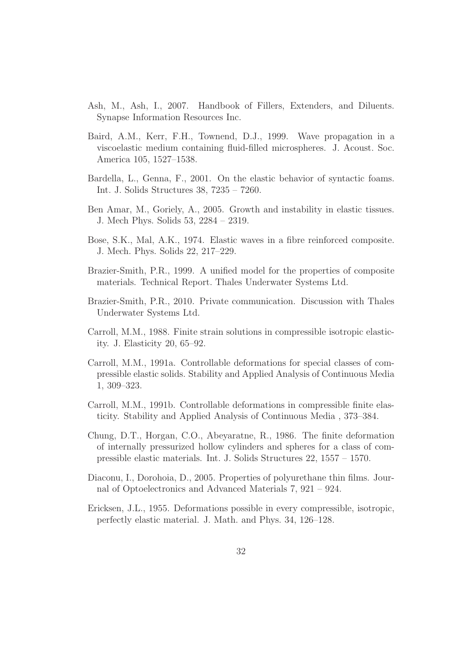- Ash, M., Ash, I., 2007. Handbook of Fillers, Extenders, and Diluents. Synapse Information Resources Inc.
- Baird, A.M., Kerr, F.H., Townend, D.J., 1999. Wave propagation in a viscoelastic medium containing fluid-filled microspheres. J. Acoust. Soc. America 105, 1527–1538.
- Bardella, L., Genna, F., 2001. On the elastic behavior of syntactic foams. Int. J. Solids Structures 38, 7235 – 7260.
- Ben Amar, M., Goriely, A., 2005. Growth and instability in elastic tissues. J. Mech Phys. Solids 53, 2284 – 2319.
- Bose, S.K., Mal, A.K., 1974. Elastic waves in a fibre reinforced composite. J. Mech. Phys. Solids 22, 217–229.
- Brazier-Smith, P.R., 1999. A unified model for the properties of composite materials. Technical Report. Thales Underwater Systems Ltd.
- Brazier-Smith, P.R., 2010. Private communication. Discussion with Thales Underwater Systems Ltd.
- Carroll, M.M., 1988. Finite strain solutions in compressible isotropic elasticity. J. Elasticity 20, 65–92.
- Carroll, M.M., 1991a. Controllable deformations for special classes of compressible elastic solids. Stability and Applied Analysis of Continuous Media 1, 309–323.
- Carroll, M.M., 1991b. Controllable deformations in compressible finite elasticity. Stability and Applied Analysis of Continuous Media , 373–384.
- Chung, D.T., Horgan, C.O., Abeyaratne, R., 1986. The finite deformation of internally pressurized hollow cylinders and spheres for a class of compressible elastic materials. Int. J. Solids Structures 22, 1557 – 1570.
- Diaconu, I., Dorohoia, D., 2005. Properties of polyurethane thin films. Journal of Optoelectronics and Advanced Materials 7, 921 – 924.
- Ericksen, J.L., 1955. Deformations possible in every compressible, isotropic, perfectly elastic material. J. Math. and Phys. 34, 126–128.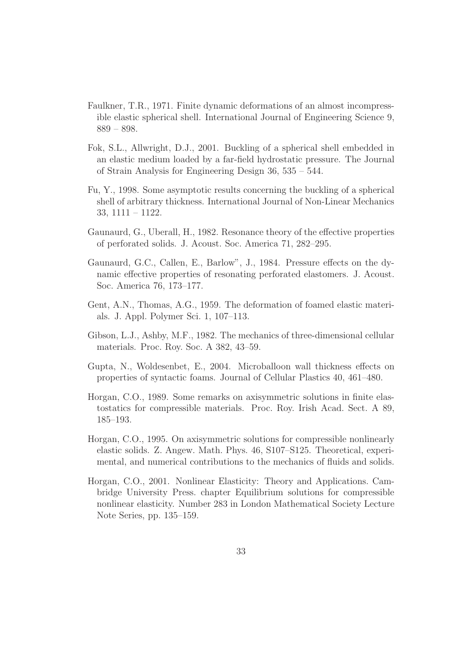- Faulkner, T.R., 1971. Finite dynamic deformations of an almost incompressible elastic spherical shell. International Journal of Engineering Science 9, 889 – 898.
- Fok, S.L., Allwright, D.J., 2001. Buckling of a spherical shell embedded in an elastic medium loaded by a far-field hydrostatic pressure. The Journal of Strain Analysis for Engineering Design 36, 535 – 544.
- Fu, Y., 1998. Some asymptotic results concerning the buckling of a spherical shell of arbitrary thickness. International Journal of Non-Linear Mechanics 33, 1111 – 1122.
- Gaunaurd, G., Uberall, H., 1982. Resonance theory of the effective properties of perforated solids. J. Acoust. Soc. America 71, 282–295.
- Gaunaurd, G.C., Callen, E., Barlow", J., 1984. Pressure effects on the dynamic effective properties of resonating perforated elastomers. J. Acoust. Soc. America 76, 173–177.
- Gent, A.N., Thomas, A.G., 1959. The deformation of foamed elastic materials. J. Appl. Polymer Sci. 1, 107–113.
- Gibson, L.J., Ashby, M.F., 1982. The mechanics of three-dimensional cellular materials. Proc. Roy. Soc. A 382, 43–59.
- Gupta, N., Woldesenbet, E., 2004. Microballoon wall thickness effects on properties of syntactic foams. Journal of Cellular Plastics 40, 461–480.
- Horgan, C.O., 1989. Some remarks on axisymmetric solutions in finite elastostatics for compressible materials. Proc. Roy. Irish Acad. Sect. A 89, 185–193.
- Horgan, C.O., 1995. On axisymmetric solutions for compressible nonlinearly elastic solids. Z. Angew. Math. Phys. 46, S107–S125. Theoretical, experimental, and numerical contributions to the mechanics of fluids and solids.
- Horgan, C.O., 2001. Nonlinear Elasticity: Theory and Applications. Cambridge University Press. chapter Equilibrium solutions for compressible nonlinear elasticity. Number 283 in London Mathematical Society Lecture Note Series, pp. 135–159.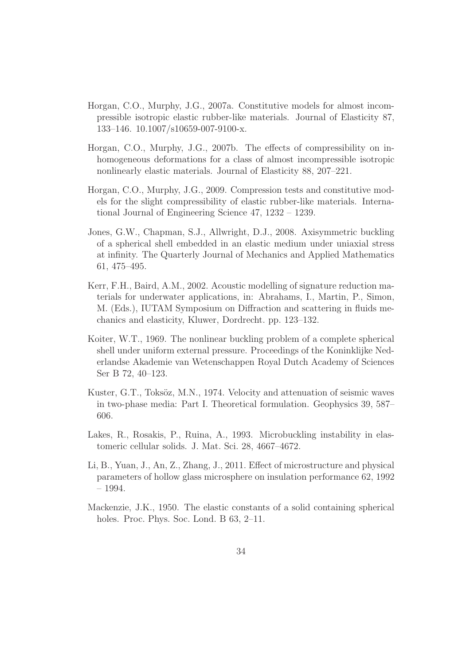- Horgan, C.O., Murphy, J.G., 2007a. Constitutive models for almost incompressible isotropic elastic rubber-like materials. Journal of Elasticity 87, 133–146. 10.1007/s10659-007-9100-x.
- Horgan, C.O., Murphy, J.G., 2007b. The effects of compressibility on inhomogeneous deformations for a class of almost incompressible isotropic nonlinearly elastic materials. Journal of Elasticity 88, 207–221.
- Horgan, C.O., Murphy, J.G., 2009. Compression tests and constitutive models for the slight compressibility of elastic rubber-like materials. International Journal of Engineering Science 47, 1232 – 1239.
- Jones, G.W., Chapman, S.J., Allwright, D.J., 2008. Axisymmetric buckling of a spherical shell embedded in an elastic medium under uniaxial stress at infinity. The Quarterly Journal of Mechanics and Applied Mathematics 61, 475–495.
- Kerr, F.H., Baird, A.M., 2002. Acoustic modelling of signature reduction materials for underwater applications, in: Abrahams, I., Martin, P., Simon, M. (Eds.), IUTAM Symposium on Diffraction and scattering in fluids mechanics and elasticity, Kluwer, Dordrecht. pp. 123–132.
- Koiter, W.T., 1969. The nonlinear buckling problem of a complete spherical shell under uniform external pressure. Proceedings of the Koninklijke Nederlandse Akademie van Wetenschappen Royal Dutch Academy of Sciences Ser B 72, 40–123.
- Kuster, G.T., Toksöz, M.N., 1974. Velocity and attenuation of seismic waves in two-phase media: Part I. Theoretical formulation. Geophysics 39, 587– 606.
- Lakes, R., Rosakis, P., Ruina, A., 1993. Microbuckling instability in elastomeric cellular solids. J. Mat. Sci. 28, 4667–4672.
- Li, B., Yuan, J., An, Z., Zhang, J., 2011. Effect of microstructure and physical parameters of hollow glass microsphere on insulation performance 62, 1992 – 1994.
- Mackenzie, J.K., 1950. The elastic constants of a solid containing spherical holes. Proc. Phys. Soc. Lond. B 63, 2–11.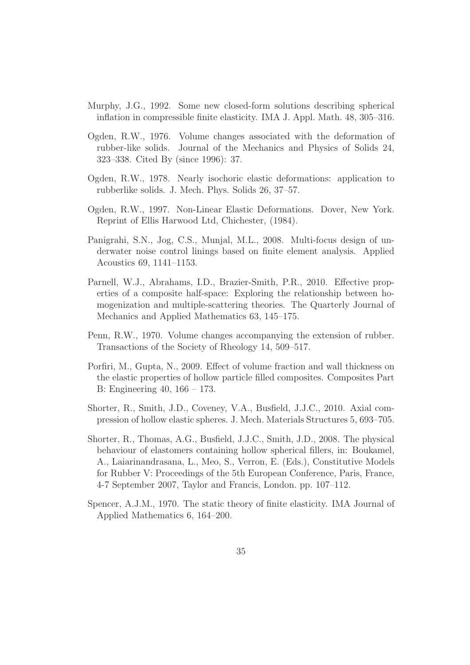- Murphy, J.G., 1992. Some new closed-form solutions describing spherical inflation in compressible finite elasticity. IMA J. Appl. Math. 48, 305–316.
- Ogden, R.W., 1976. Volume changes associated with the deformation of rubber-like solids. Journal of the Mechanics and Physics of Solids 24, 323–338. Cited By (since 1996): 37.
- Ogden, R.W., 1978. Nearly isochoric elastic deformations: application to rubberlike solids. J. Mech. Phys. Solids 26, 37–57.
- Ogden, R.W., 1997. Non-Linear Elastic Deformations. Dover, New York. Reprint of Ellis Harwood Ltd, Chichester, (1984).
- Panigrahi, S.N., Jog, C.S., Munjal, M.L., 2008. Multi-focus design of underwater noise control linings based on finite element analysis. Applied Acoustics 69, 1141–1153.
- Parnell, W.J., Abrahams, I.D., Brazier-Smith, P.R., 2010. Effective properties of a composite half-space: Exploring the relationship between homogenization and multiple-scattering theories. The Quarterly Journal of Mechanics and Applied Mathematics 63, 145–175.
- Penn, R.W., 1970. Volume changes accompanying the extension of rubber. Transactions of the Society of Rheology 14, 509–517.
- Porfiri, M., Gupta, N., 2009. Effect of volume fraction and wall thickness on the elastic properties of hollow particle filled composites. Composites Part B: Engineering 40, 166 – 173.
- Shorter, R., Smith, J.D., Coveney, V.A., Busfield, J.J.C., 2010. Axial compression of hollow elastic spheres. J. Mech. Materials Structures 5, 693–705.
- Shorter, R., Thomas, A.G., Busfield, J.J.C., Smith, J.D., 2008. The physical behaviour of elastomers containing hollow spherical fillers, in: Boukamel, A., Laiarinandrasana, L., Meo, S., Verron, E. (Eds.), Constitutive Models for Rubber V: Proceedings of the 5th European Conference, Paris, France, 4-7 September 2007, Taylor and Francis, London. pp. 107–112.
- Spencer, A.J.M., 1970. The static theory of finite elasticity. IMA Journal of Applied Mathematics 6, 164–200.